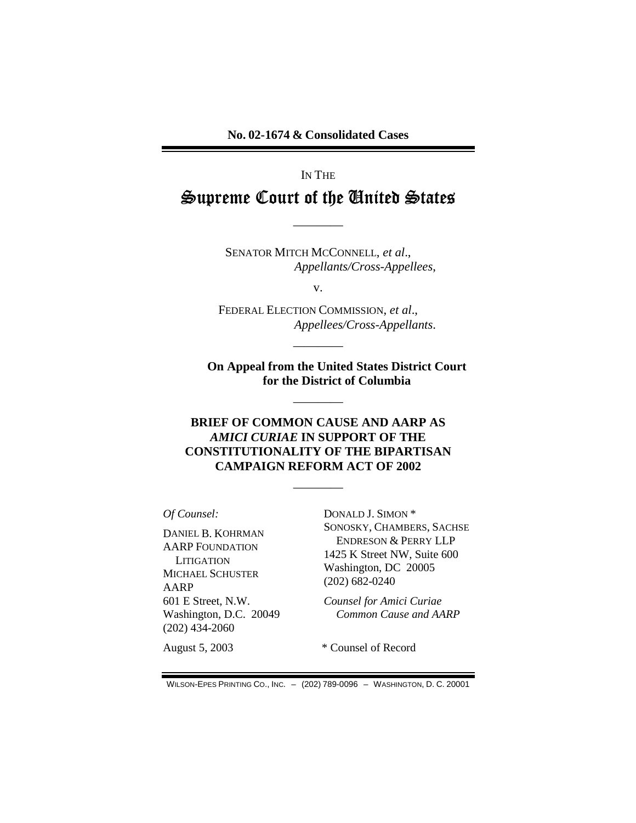No. 02-1674 & Consolidated Cases

# IN THE Supreme Court of the United States

SENATOR MITCH MCCONNELL, et al., Appellants/Cross-Appellees,

 $V_{\bullet}$ 

FEDERAL ELECTION COMMISSION, et al., Appellees/Cross-Appellants.

**On Appeal from the United States District Court** for the District of Columbia

#### **BRIEF OF COMMON CAUSE AND AARP AS AMICI CURIAE IN SUPPORT OF THE CONSTITUTIONALITY OF THE BIPARTISAN CAMPAIGN REFORM ACT OF 2002**

Of Counsel:

DANIEL B. KOHRMAN **AARP FOUNDATION LITIGATION MICHAEL SCHUSTER AARP** 601 E Street, N.W. Washington, D.C. 20049  $(202)$  434-2060

DONALD J. SIMON \* SONOSKY, CHAMBERS, SACHSE **ENDRESON & PERRY LLP** 1425 K Street NW, Suite 600 Washington, DC 20005  $(202)$  682-0240

**Counsel for Amici Curiae** Common Cause and AARP

August 5, 2003

\* Counsel of Record

WILSON-EPES PRINTING CO., INC. - (202) 789-0096 - WASHINGTON, D. C. 20001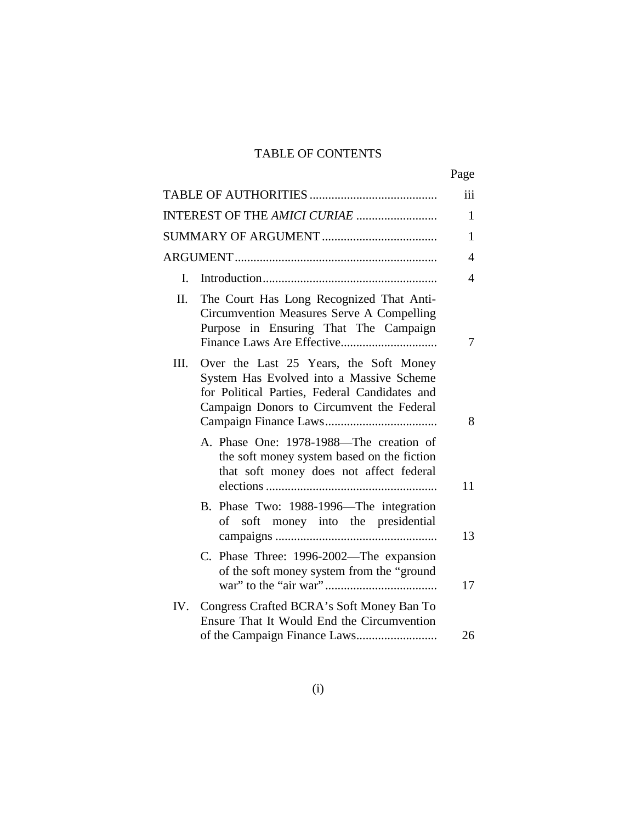## TABLE OF CONTENTS

|      |                                                                                                                                                                                  | Page |
|------|----------------------------------------------------------------------------------------------------------------------------------------------------------------------------------|------|
|      |                                                                                                                                                                                  | iii  |
|      |                                                                                                                                                                                  | 1    |
|      |                                                                                                                                                                                  | 1    |
|      |                                                                                                                                                                                  | 4    |
| I.   |                                                                                                                                                                                  | 4    |
| II.  | The Court Has Long Recognized That Anti-<br>Circumvention Measures Serve A Compelling<br>Purpose in Ensuring That The Campaign                                                   | 7    |
| III. | Over the Last 25 Years, the Soft Money<br>System Has Evolved into a Massive Scheme<br>for Political Parties, Federal Candidates and<br>Campaign Donors to Circumvent the Federal | 8    |
|      | A. Phase One: 1978-1988—The creation of<br>the soft money system based on the fiction<br>that soft money does not affect federal<br>B. Phase Two: 1988-1996-The integration      | 11   |
|      | soft money into the presidential<br>of                                                                                                                                           | 13   |
|      | C. Phase Three: 1996-2002—The expansion<br>of the soft money system from the "ground                                                                                             | 17   |
| IV.  | Congress Crafted BCRA's Soft Money Ban To<br>Ensure That It Would End the Circumvention                                                                                          | 26   |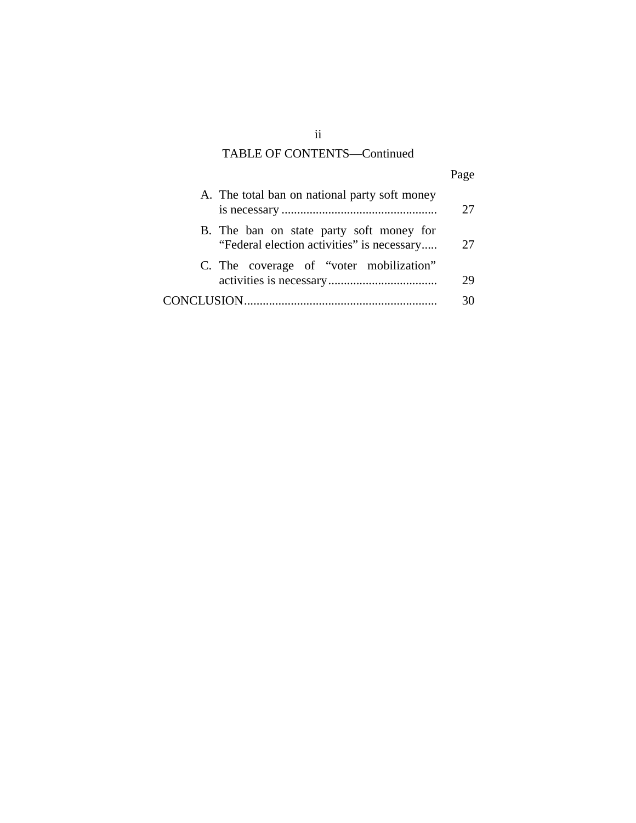## TABLE OF CONTENTS—Continued

|                                                                                        | Page |  |
|----------------------------------------------------------------------------------------|------|--|
| A. The total ban on national party soft money                                          | 27   |  |
| B. The ban on state party soft money for<br>"Federal election activities" is necessary | 27   |  |
| C. The coverage of "voter mobilization"                                                | 29   |  |
|                                                                                        | 30   |  |

ii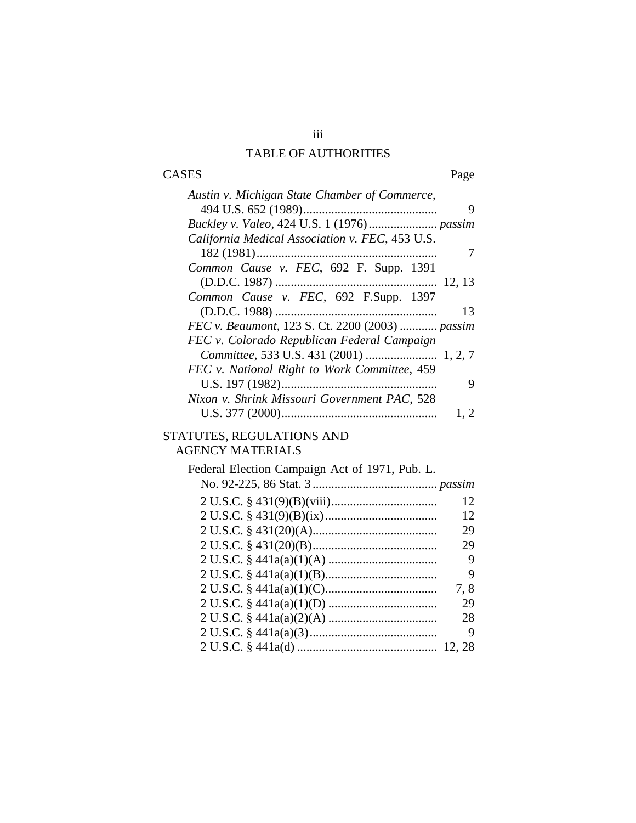## iii TABLE OF AUTHORITIES

# CASES Page

| Austin v. Michigan State Chamber of Commerce,   |      |
|-------------------------------------------------|------|
|                                                 | 9    |
|                                                 |      |
| California Medical Association v. FEC, 453 U.S. |      |
|                                                 | 7    |
| Common Cause v. FEC, 692 F. Supp. 1391          |      |
|                                                 |      |
| Common Cause v. FEC, 692 F.Supp. 1397           |      |
| (D.D.C. 1988)                                   | 13   |
| FEC v. Beaumont, 123 S. Ct. 2200 (2003)  passim |      |
| FEC v. Colorado Republican Federal Campaign     |      |
|                                                 |      |
| FEC v. National Right to Work Committee, 459    |      |
|                                                 | 9    |
| Nixon v. Shrink Missouri Government PAC, 528    |      |
|                                                 | 1, 2 |
| STATUTES, REGULATIONS AND                       |      |
| <b>AGENCY MATERIALS</b>                         |      |
|                                                 |      |
| Federal Election Campaign Act of 1971, Pub. L.  |      |
|                                                 |      |
|                                                 |      |
|                                                 | 12   |
|                                                 | 12   |
|                                                 | 29   |
|                                                 | 29   |
|                                                 | 9    |
|                                                 | 9    |
|                                                 | 7,8  |
|                                                 | 29   |
|                                                 | 28   |
|                                                 | 9    |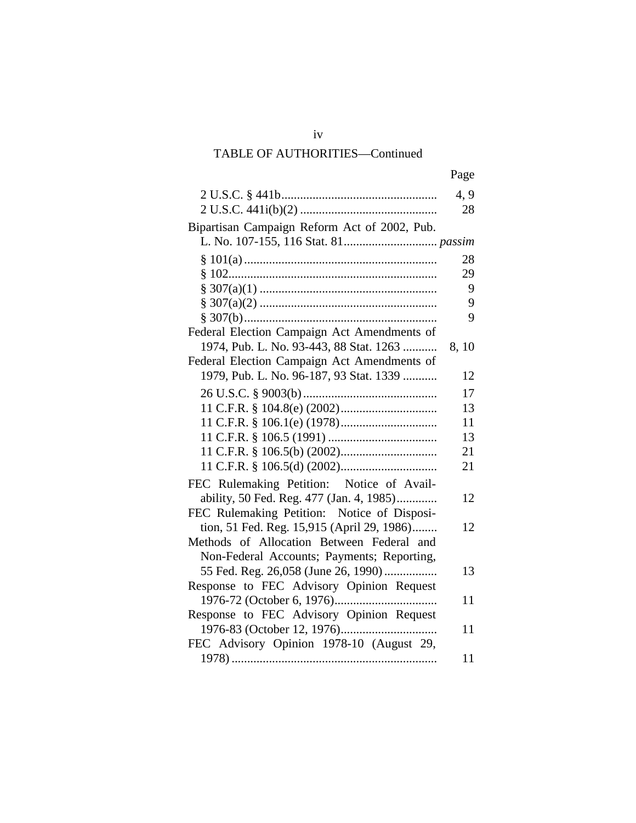## iv TABLE OF AUTHORITIES—Continued

|                                              | Page |
|----------------------------------------------|------|
|                                              | 4, 9 |
|                                              | 28   |
| Bipartisan Campaign Reform Act of 2002, Pub. |      |
|                                              |      |
|                                              | 28   |
|                                              | 29   |
|                                              | 9    |
|                                              | 9    |
|                                              | 9    |
| Federal Election Campaign Act Amendments of  |      |
| 1974, Pub. L. No. 93-443, 88 Stat. 1263      | 8,10 |
| Federal Election Campaign Act Amendments of  |      |
| 1979, Pub. L. No. 96-187, 93 Stat. 1339      | 12   |
|                                              | 17   |
|                                              | 13   |
|                                              | 11   |
|                                              | 13   |
|                                              | 21   |
|                                              | 21   |
| FEC Rulemaking Petition: Notice of Avail-    |      |
| ability, 50 Fed. Reg. 477 (Jan. 4, 1985)     | 12   |
| FEC Rulemaking Petition: Notice of Disposi-  |      |
| tion, 51 Fed. Reg. 15,915 (April 29, 1986)   | 12   |
| Methods of Allocation Between Federal and    |      |
| Non-Federal Accounts; Payments; Reporting,   |      |
| 55 Fed. Reg. 26,058 (June 26, 1990)          | 13   |
| Response to FEC Advisory Opinion Request     |      |
|                                              | 11   |
| Response to FEC Advisory Opinion Request     |      |
|                                              | 11   |
| FEC Advisory Opinion 1978-10 (August 29,     |      |
| 1978).                                       | 11   |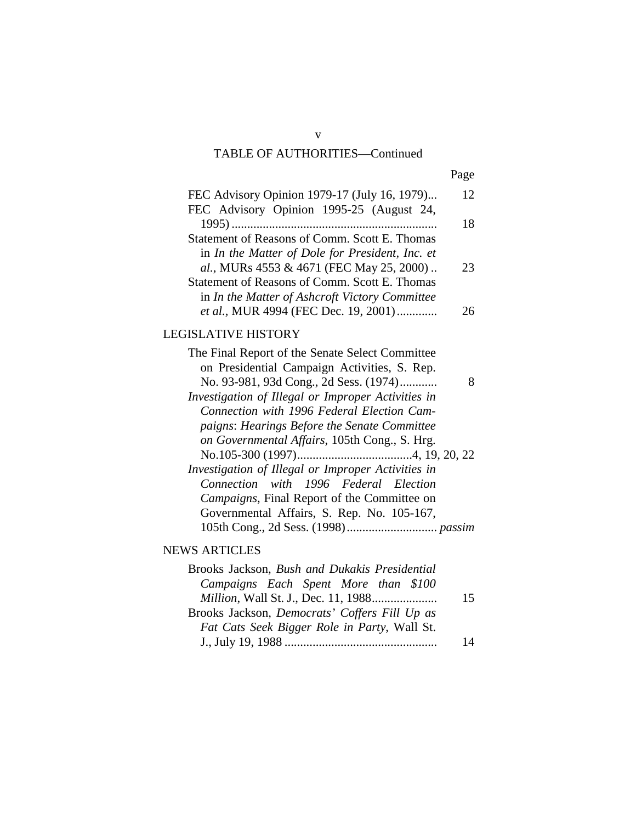## TABLE OF AUTHORITIES—Continued

| ×<br>I |
|--------|
|--------|

| FEC Advisory Opinion 1979-17 (July 16, 1979)    | 12 |
|-------------------------------------------------|----|
| FEC Advisory Opinion 1995-25 (August 24,        |    |
|                                                 | 18 |
| Statement of Reasons of Comm. Scott E. Thomas   |    |
| in In the Matter of Dole for President, Inc. et |    |
| al., MURs 4553 & 4671 (FEC May 25, 2000)        | 23 |
| Statement of Reasons of Comm. Scott E. Thomas   |    |
| in In the Matter of Ashcroft Victory Committee  |    |
| et al., MUR 4994 (FEC Dec. 19, 2001)            | 76 |
|                                                 |    |

## LEGISLATIVE HISTORY

| The Final Report of the Senate Select Committee    |
|----------------------------------------------------|
| on Presidential Campaign Activities, S. Rep.       |
| No. 93-981, 93d Cong., 2d Sess. (1974)             |
| Investigation of Illegal or Improper Activities in |
| Connection with 1996 Federal Election Cam-         |
| paigns: Hearings Before the Senate Committee       |
| on Governmental Affairs, 105th Cong., S. Hrg.      |
|                                                    |
| Investigation of Illegal or Improper Activities in |
| Connection with 1996 Federal Election              |
| Campaigns, Final Report of the Committee on        |
| Governmental Affairs, S. Rep. No. 105-167,         |
|                                                    |
|                                                    |

## NEWS ARTICLES

| Brooks Jackson, Bush and Dukakis Presidential        |    |
|------------------------------------------------------|----|
| Campaigns Each Spent More than \$100                 |    |
|                                                      | 15 |
| Brooks Jackson, <i>Democrats' Coffers Fill Up as</i> |    |
| Fat Cats Seek Bigger Role in Party, Wall St.         |    |
|                                                      | 14 |

v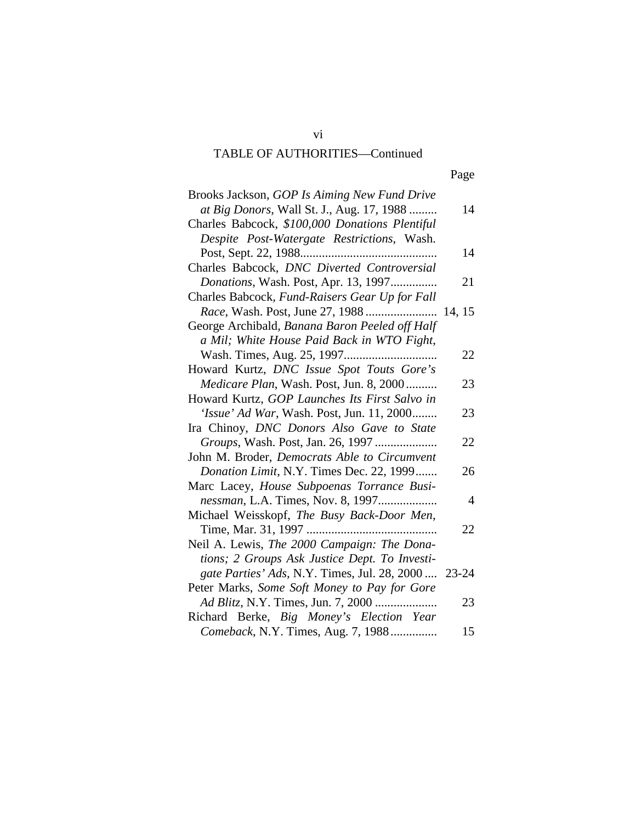## TABLE OF AUTHORITIES—Continued

| Brooks Jackson, GOP Is Aiming New Fund Drive<br>at Big Donors, Wall St. J., Aug. 17, 1988    | 14             |
|----------------------------------------------------------------------------------------------|----------------|
| Charles Babcock, \$100,000 Donations Plentiful<br>Despite Post-Watergate Restrictions, Wash. |                |
|                                                                                              | 14             |
| Charles Babcock, DNC Diverted Controversial                                                  |                |
| Donations, Wash. Post, Apr. 13, 1997                                                         | 21             |
| Charles Babcock, Fund-Raisers Gear Up for Fall                                               |                |
|                                                                                              |                |
| George Archibald, Banana Baron Peeled off Half                                               |                |
| a Mil; White House Paid Back in WTO Fight,                                                   |                |
|                                                                                              | 22             |
| Howard Kurtz, DNC Issue Spot Touts Gore's                                                    |                |
| <i>Medicare Plan, Wash. Post, Jun. 8, 2000</i>                                               | 23             |
| Howard Kurtz, GOP Launches Its First Salvo in                                                |                |
| <i>'Issue' Ad War</i> , Wash. Post, Jun. 11, 2000                                            | 23             |
| Ira Chinoy, DNC Donors Also Gave to State                                                    |                |
|                                                                                              | 22             |
| John M. Broder, Democrats Able to Circumvent                                                 |                |
| Donation Limit, N.Y. Times Dec. 22, 1999                                                     | 26             |
| Marc Lacey, House Subpoenas Torrance Busi-                                                   |                |
| nessman, L.A. Times, Nov. 8, 1997                                                            | $\overline{4}$ |
| Michael Weisskopf, The Busy Back-Door Men,                                                   |                |
| Time, Mar. 31, 1997                                                                          | 22             |
| Neil A. Lewis, The 2000 Campaign: The Dona-                                                  |                |
| tions; 2 Groups Ask Justice Dept. To Investi-                                                |                |
| gate Parties' Ads, N.Y. Times, Jul. 28, 2000  23-24                                          |                |
| Peter Marks, Some Soft Money to Pay for Gore                                                 |                |
| Ad Blitz, N.Y. Times, Jun. 7, 2000                                                           | 23             |
| Richard Berke, Big Money's Election Year                                                     |                |
| Comeback, N.Y. Times, Aug. 7, 1988                                                           | 15             |

vi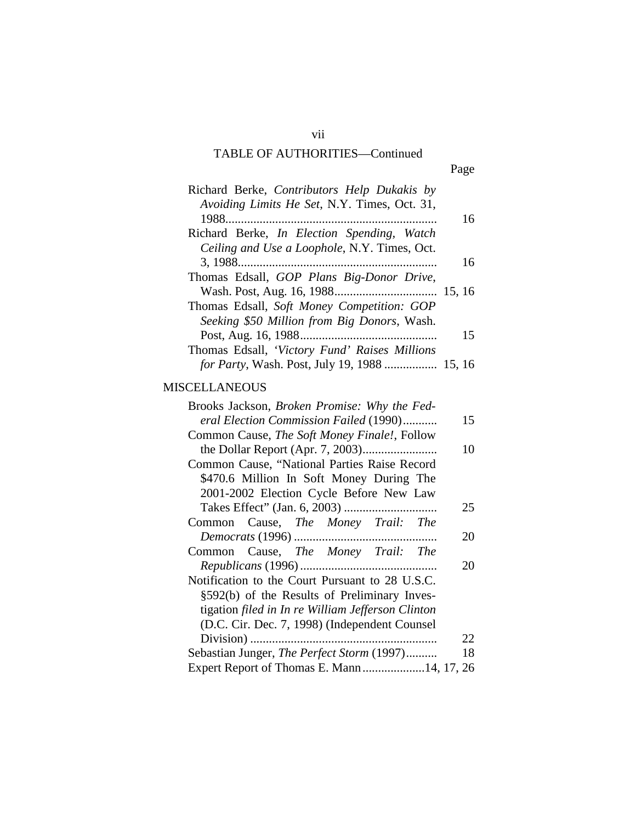# TABLE OF AUTHORITIES—Continued

vii

| Richard Berke, Contributors Help Dukakis by               |    |
|-----------------------------------------------------------|----|
| Avoiding Limits He Set, N.Y. Times, Oct. 31,              |    |
|                                                           | 16 |
| Richard Berke, <i>In Election Spending</i> , <i>Watch</i> |    |
| Ceiling and Use a Loophole, N.Y. Times, Oct.              |    |
|                                                           | 16 |
| Thomas Edsall, GOP Plans Big-Donor Drive,                 |    |
|                                                           |    |
| Thomas Edsall, Soft Money Competition: GOP                |    |
| Seeking \$50 Million from Big Donors, Wash.               |    |
|                                                           | 15 |
| Thomas Edsall, 'Victory Fund' Raises Millions             |    |
| for Party, Wash. Post, July 19, 1988  15, 16              |    |

## MISCELLANEOUS

| Brooks Jackson, Broken Promise: Why the Fed-      |  |
|---------------------------------------------------|--|
| eral Election Commission Failed (1990)<br>15      |  |
| Common Cause, The Soft Money Finale!, Follow      |  |
| 10                                                |  |
| Common Cause, "National Parties Raise Record      |  |
| \$470.6 Million In Soft Money During The          |  |
| 2001-2002 Election Cycle Before New Law           |  |
| 25                                                |  |
| Common Cause, The Money Trail: The                |  |
| 20                                                |  |
| Common Cause, The Money Trail: The                |  |
| 20                                                |  |
| Notification to the Court Pursuant to 28 U.S.C.   |  |
| §592(b) of the Results of Preliminary Inves-      |  |
| tigation filed in In re William Jefferson Clinton |  |
| (D.C. Cir. Dec. 7, 1998) (Independent Counsel     |  |
| 22                                                |  |
| Sebastian Junger, The Perfect Storm (1997)<br>18  |  |
| Expert Report of Thomas E. Mann14, 17, 26         |  |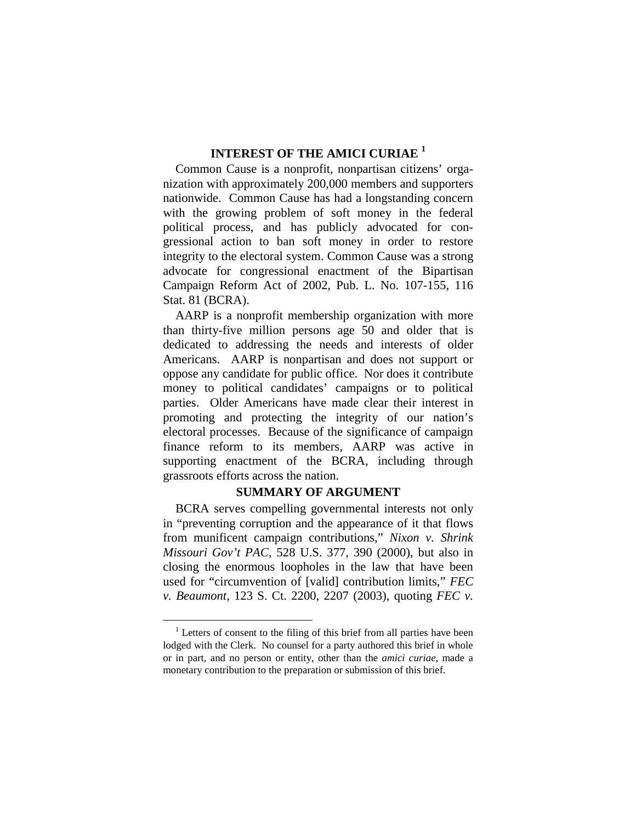### **INTEREST OF THE AMICI CURIAE <sup>1</sup>**

Common Cause is a nonprofit, nonpartisan citizens' organization with approximately 200,000 members and supporters nationwide. Common Cause has had a longstanding concern with the growing problem of soft money in the federal political process, and has publicly advocated for congressional action to ban soft money in order to restore integrity to the electoral system. Common Cause was a strong advocate for congressional enactment of the Bipartisan Campaign Reform Act of 2002, Pub. L. No. 107-155, 116 Stat. 81 (BCRA).

AARP is a nonprofit membership organization with more than thirty-five million persons age 50 and older that is dedicated to addressing the needs and interests of older Americans. AARP is nonpartisan and does not support or oppose any candidate for public office. Nor does it contribute money to political candidates' campaigns or to political parties. Older Americans have made clear their interest in promoting and protecting the integrity of our nation's electoral processes. Because of the significance of campaign finance reform to its members, AARP was active in supporting enactment of the BCRA, including through grassroots efforts across the nation.

#### **SUMMARY OF ARGUMENT**

BCRA serves compelling governmental interests not only in "preventing corruption and the appearance of it that flows from munificent campaign contributions," *Nixon v. Shrink Missouri Gov't PAC*, 528 U.S. 377, 390 (2000), but also in closing the enormous loopholes in the law that have been used for "circumvention of [valid] contribution limits," *FEC v. Beaumont,* 123 S. Ct. 2200, 2207 (2003), quoting *FEC v.* 

<sup>&</sup>lt;sup>1</sup> Letters of consent to the filing of this brief from all parties have been lodged with the Clerk. No counsel for a party authored this brief in whole or in part, and no person or entity, other than the *amici curiae,* made a monetary contribution to the preparation or submission of this brief.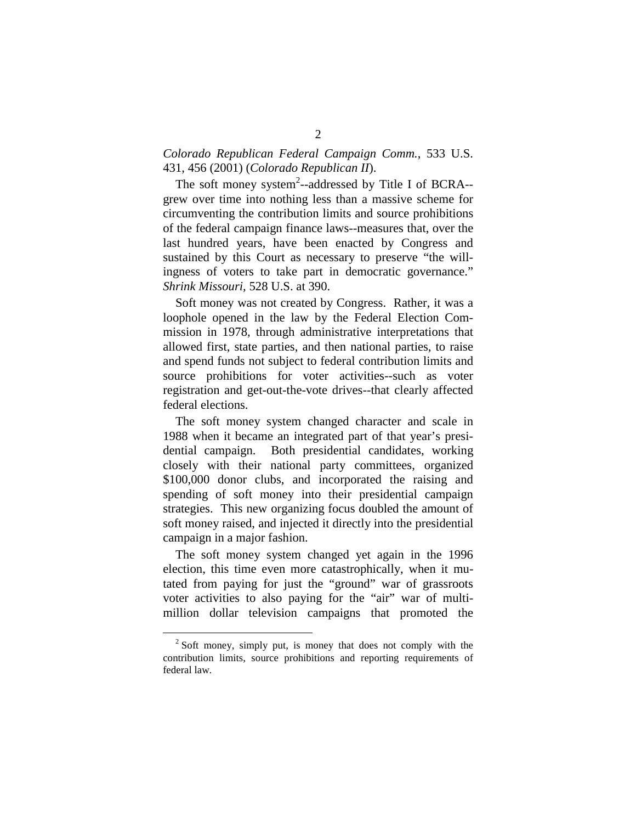#### *Colorado Republican Federal Campaign Comm.*, 533 U.S. 431, 456 (2001) (*Colorado Republican II*).

The soft money system<sup>2</sup>--addressed by Title I of BCRA-grew over time into nothing less than a massive scheme for circumventing the contribution limits and source prohibitions of the federal campaign finance laws--measures that, over the last hundred years, have been enacted by Congress and sustained by this Court as necessary to preserve "the willingness of voters to take part in democratic governance." *Shrink Missouri,* 528 U.S. at 390.

Soft money was not created by Congress. Rather, it was a loophole opened in the law by the Federal Election Commission in 1978, through administrative interpretations that allowed first, state parties, and then national parties, to raise and spend funds not subject to federal contribution limits and source prohibitions for voter activities--such as voter registration and get-out-the-vote drives--that clearly affected federal elections.

The soft money system changed character and scale in 1988 when it became an integrated part of that year's presidential campaign. Both presidential candidates, working closely with their national party committees, organized \$100,000 donor clubs, and incorporated the raising and spending of soft money into their presidential campaign strategies. This new organizing focus doubled the amount of soft money raised, and injected it directly into the presidential campaign in a major fashion.

The soft money system changed yet again in the 1996 election, this time even more catastrophically, when it mutated from paying for just the "ground" war of grassroots voter activities to also paying for the "air" war of multimillion dollar television campaigns that promoted the

 $2$  Soft money, simply put, is money that does not comply with the contribution limits, source prohibitions and reporting requirements of federal law.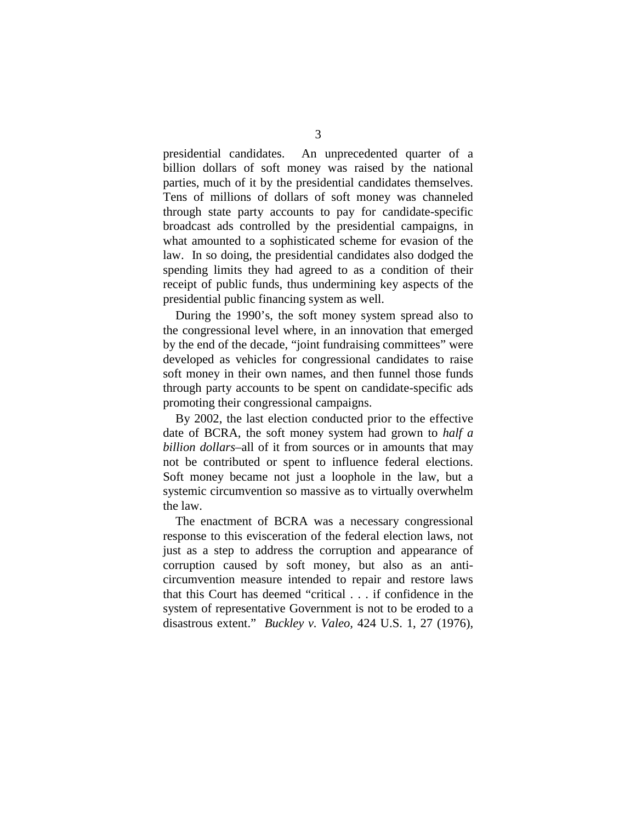presidential candidates. An unprecedented quarter of a billion dollars of soft money was raised by the national parties, much of it by the presidential candidates themselves. Tens of millions of dollars of soft money was channeled through state party accounts to pay for candidate-specific broadcast ads controlled by the presidential campaigns, in what amounted to a sophisticated scheme for evasion of the law. In so doing, the presidential candidates also dodged the spending limits they had agreed to as a condition of their receipt of public funds, thus undermining key aspects of the presidential public financing system as well.

During the 1990's, the soft money system spread also to the congressional level where, in an innovation that emerged by the end of the decade, "joint fundraising committees" were developed as vehicles for congressional candidates to raise soft money in their own names, and then funnel those funds through party accounts to be spent on candidate-specific ads promoting their congressional campaigns.

By 2002, the last election conducted prior to the effective date of BCRA, the soft money system had grown to *half a billion dollars*–all of it from sources or in amounts that may not be contributed or spent to influence federal elections. Soft money became not just a loophole in the law, but a systemic circumvention so massive as to virtually overwhelm the law.

The enactment of BCRA was a necessary congressional response to this evisceration of the federal election laws, not just as a step to address the corruption and appearance of corruption caused by soft money, but also as an anticircumvention measure intended to repair and restore laws that this Court has deemed "critical . . . if confidence in the system of representative Government is not to be eroded to a disastrous extent." *Buckley v. Valeo,* 424 U.S. 1, 27 (1976),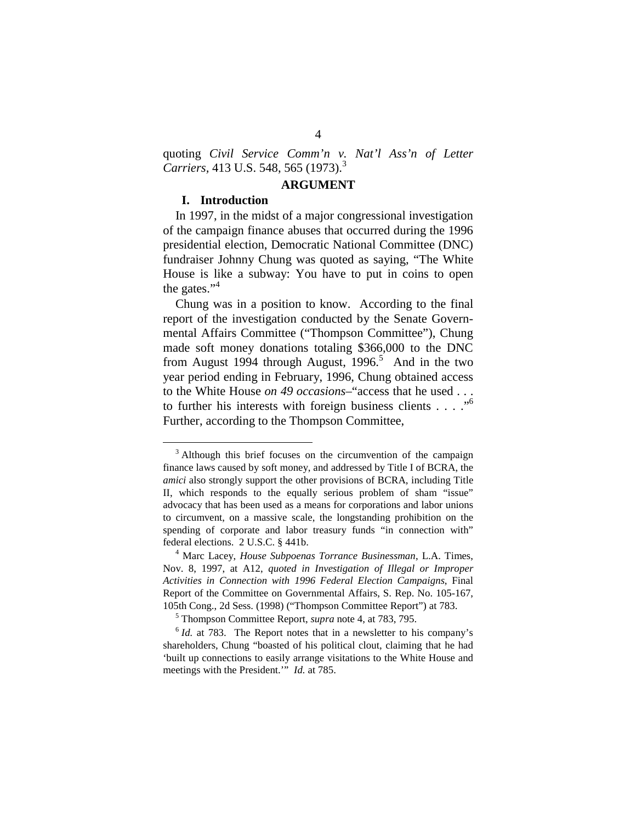quoting *Civil Service Comm'n v. Nat'l Ass'n of Letter Carriers, 413 U.S. 548, 565 (1973).*<sup>3</sup>

#### **ARGUMENT**

#### **I. Introduction**

In 1997, in the midst of a major congressional investigation of the campaign finance abuses that occurred during the 1996 presidential election, Democratic National Committee (DNC) fundraiser Johnny Chung was quoted as saying, "The White House is like a subway: You have to put in coins to open the gates." $4$ 

Chung was in a position to know. According to the final report of the investigation conducted by the Senate Governmental Affairs Committee ("Thompson Committee"), Chung made soft money donations totaling \$366,000 to the DNC from August 1994 through August, 1996.<sup>5</sup> And in the two year period ending in February, 1996, Chung obtained access to the White House *on 49 occasions*–"access that he used . . . to further his interests with foreign business clients . . . ."6 Further, according to the Thompson Committee,

 $3$  Although this brief focuses on the circumvention of the campaign finance laws caused by soft money, and addressed by Title I of BCRA, the *amici* also strongly support the other provisions of BCRA, including Title II, which responds to the equally serious problem of sham "issue" advocacy that has been used as a means for corporations and labor unions to circumvent, on a massive scale, the longstanding prohibition on the spending of corporate and labor treasury funds "in connection with" federal elections. 2 U.S.C. § 441b. 4

Marc Lacey, *House Subpoenas Torrance Businessman*, L.A. Times, Nov. 8, 1997, at A12, *quoted in Investigation of Illegal or Improper Activities in Connection with 1996 Federal Election Campaigns*, Final Report of the Committee on Governmental Affairs, S. Rep. No. 105-167, 105th Cong., 2d Sess. (1998) ("Thompson Committee Report") at 783.<br>
<sup>5</sup> Thompson Committee Report, *supra* note 4, at 783, 795.

 $\delta$  *Id.* at 783. The Report notes that in a newsletter to his company's shareholders, Chung "boasted of his political clout, claiming that he had 'built up connections to easily arrange visitations to the White House and meetings with the President.'" *Id.* at 785.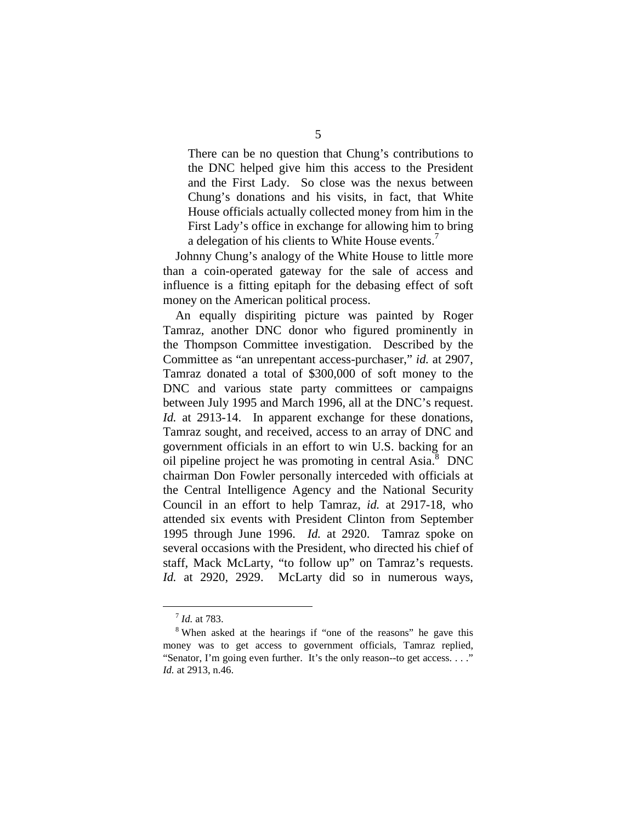There can be no question that Chung's contributions to the DNC helped give him this access to the President and the First Lady. So close was the nexus between Chung's donations and his visits, in fact, that White House officials actually collected money from him in the First Lady's office in exchange for allowing him to bring a delegation of his clients to White House events.<sup>7</sup>

Johnny Chung's analogy of the White House to little more than a coin-operated gateway for the sale of access and influence is a fitting epitaph for the debasing effect of soft money on the American political process.

An equally dispiriting picture was painted by Roger Tamraz, another DNC donor who figured prominently in the Thompson Committee investigation. Described by the Committee as "an unrepentant access-purchaser," *id.* at 2907, Tamraz donated a total of \$300,000 of soft money to the DNC and various state party committees or campaigns between July 1995 and March 1996, all at the DNC's request. *Id.* at 2913-14. In apparent exchange for these donations, Tamraz sought, and received, access to an array of DNC and government officials in an effort to win U.S. backing for an oil pipeline project he was promoting in central Asia.<sup>8</sup> DNC chairman Don Fowler personally interceded with officials at the Central Intelligence Agency and the National Security Council in an effort to help Tamraz, *id.* at 2917-18, who attended six events with President Clinton from September 1995 through June 1996. *Id.* at 2920. Tamraz spoke on several occasions with the President, who directed his chief of staff, Mack McLarty, "to follow up" on Tamraz's requests. *Id.* at 2920, 2929. McLarty did so in numerous ways,

 $7<sup>7</sup>$ *Id.* at 783.<br><sup>8</sup> When asked at the hearings if "one of the reasons" he gave this money was to get access to government officials, Tamraz replied, "Senator, I'm going even further. It's the only reason--to get access. . . ." *Id.* at 2913, n.46.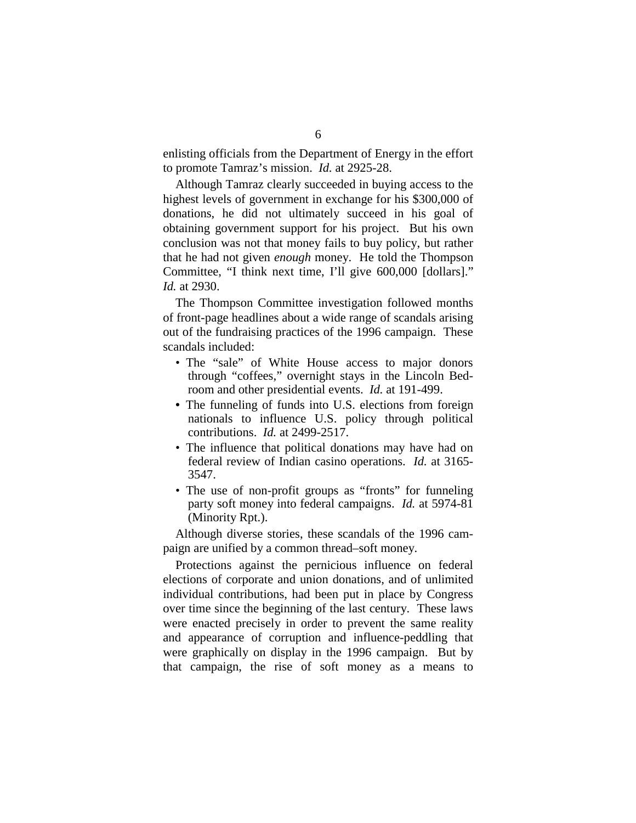enlisting officials from the Department of Energy in the effort to promote Tamraz's mission. *Id.* at 2925-28.

Although Tamraz clearly succeeded in buying access to the highest levels of government in exchange for his \$300,000 of donations, he did not ultimately succeed in his goal of obtaining government support for his project. But his own conclusion was not that money fails to buy policy, but rather that he had not given *enough* money. He told the Thompson Committee, "I think next time, I'll give 600,000 [dollars]." *Id.* at 2930.

The Thompson Committee investigation followed months of front-page headlines about a wide range of scandals arising out of the fundraising practices of the 1996 campaign. These scandals included:

- The "sale" of White House access to major donors through "coffees," overnight stays in the Lincoln Bedroom and other presidential events. *Id.* at 191-499.
- The funneling of funds into U.S. elections from foreign nationals to influence U.S. policy through political contributions. *Id.* at 2499-2517.
- The influence that political donations may have had on federal review of Indian casino operations. *Id.* at 3165- 3547.
- The use of non-profit groups as "fronts" for funneling party soft money into federal campaigns. *Id.* at 5974-81 (Minority Rpt.).

Although diverse stories, these scandals of the 1996 campaign are unified by a common thread–soft money.

Protections against the pernicious influence on federal elections of corporate and union donations, and of unlimited individual contributions, had been put in place by Congress over time since the beginning of the last century. These laws were enacted precisely in order to prevent the same reality and appearance of corruption and influence-peddling that were graphically on display in the 1996 campaign. But by that campaign, the rise of soft money as a means to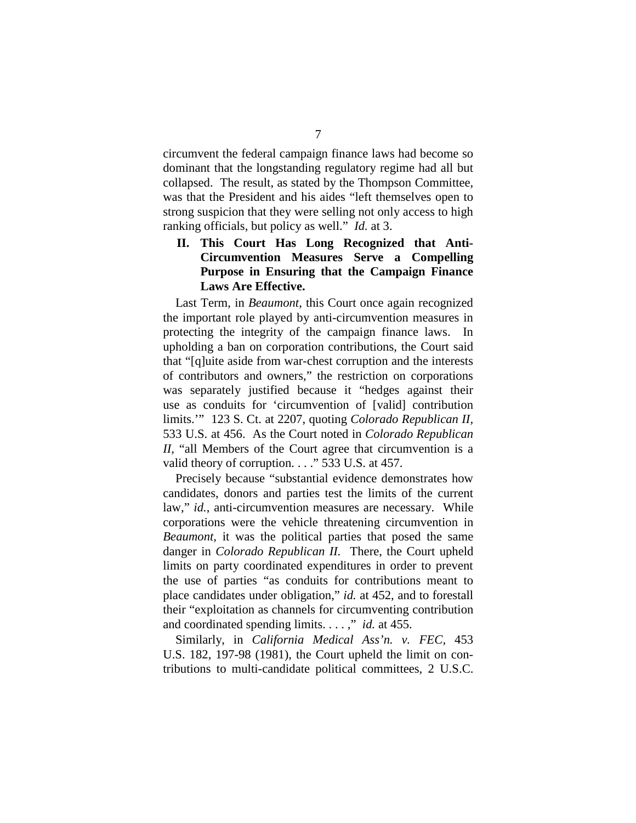circumvent the federal campaign finance laws had become so dominant that the longstanding regulatory regime had all but collapsed. The result, as stated by the Thompson Committee, was that the President and his aides "left themselves open to strong suspicion that they were selling not only access to high ranking officials, but policy as well." *Id.* at 3.

#### II. This Court Has Long Recognized that Anti-**Circumvention Measures Serve a Compelling Purpose in Ensuring that the Campaign Finance Laws Are Effective.**

Last Term, in *Beaumont*, this Court once again recognized the important role played by anti-circumvention measures in protecting the integrity of the campaign finance laws. In upholding a ban on corporation contributions, the Court said that "[q]uite aside from war-chest corruption and the interests of contributors and owners," the restriction on corporations was separately justified because it "hedges against their use as conduits for 'circumvention of [valid] contribution limits.'" 123 S. Ct. at 2207, quoting *Colorado Republican II,*  533 U.S. at 456. As the Court noted in *Colorado Republican II,* "all Members of the Court agree that circumvention is a valid theory of corruption. . . ." 533 U.S. at 457.

Precisely because "substantial evidence demonstrates how candidates, donors and parties test the limits of the current law," *id.*, anti-circumvention measures are necessary. While corporations were the vehicle threatening circumvention in *Beaumont,* it was the political parties that posed the same danger in *Colorado Republican II.* There, the Court upheld limits on party coordinated expenditures in order to prevent the use of parties "as conduits for contributions meant to place candidates under obligation," *id.* at 452, and to forestall their "exploitation as channels for circumventing contribution and coordinated spending limits. . . . ," *id.* at 455.

Similarly, in *California Medical Ass'n. v. FEC,* 453 U.S. 182, 197-98 (1981), the Court upheld the limit on contributions to multi-candidate political committees, 2 U.S.C.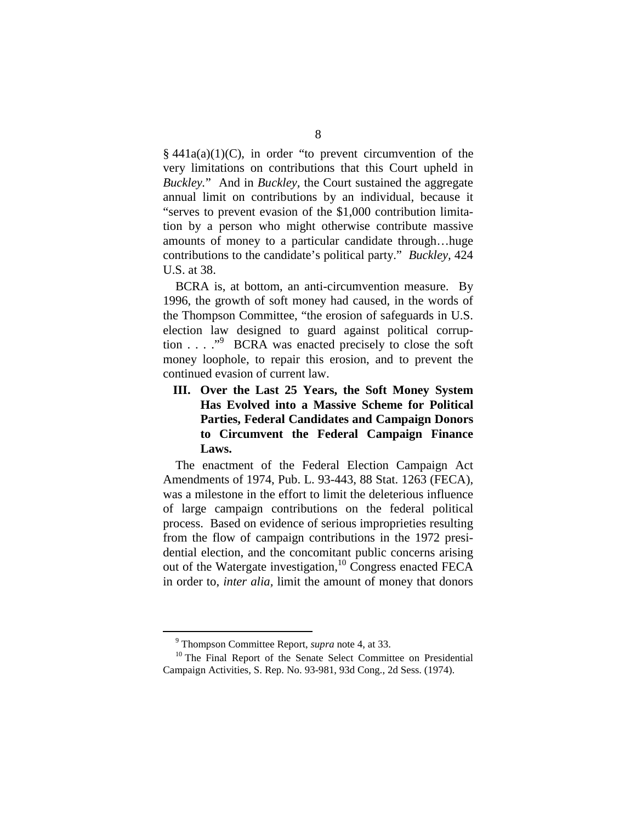$§$  441a(a)(1)(C), in order "to prevent circumvention of the very limitations on contributions that this Court upheld in *Buckley.*" And in *Buckley,* the Court sustained the aggregate annual limit on contributions by an individual, because it "serves to prevent evasion of the \$1,000 contribution limitation by a person who might otherwise contribute massive amounts of money to a particular candidate through…huge contributions to the candidate's political party." *Buckley,* 424 U.S. at 38.

BCRA is, at bottom, an anti-circumvention measure. By 1996, the growth of soft money had caused, in the words of the Thompson Committee, "the erosion of safeguards in U.S. election law designed to guard against political corruption . . . ."<sup>9</sup> BCRA was enacted precisely to close the soft money loophole, to repair this erosion, and to prevent the continued evasion of current law.

**III. Over the Last 25 Years, the Soft Money System Has Evolved into a Massive Scheme for Political Parties, Federal Candidates and Campaign Donors to Circumvent the Federal Campaign Finance Laws.** 

The enactment of the Federal Election Campaign Act Amendments of 1974, Pub. L. 93-443, 88 Stat. 1263 (FECA), was a milestone in the effort to limit the deleterious influence of large campaign contributions on the federal political process. Based on evidence of serious improprieties resulting from the flow of campaign contributions in the 1972 presidential election, and the concomitant public concerns arising out of the Watergate investigation,<sup>10</sup> Congress enacted FECA in order to, *inter alia,* limit the amount of money that donors

<sup>&</sup>lt;sup>9</sup> Thompson Committee Report, *supra* note 4, at 33.

<sup>&</sup>lt;sup>10</sup> The Final Report of the Senate Select Committee on Presidential Campaign Activities*,* S. Rep. No. 93-981, 93d Cong., 2d Sess. (1974).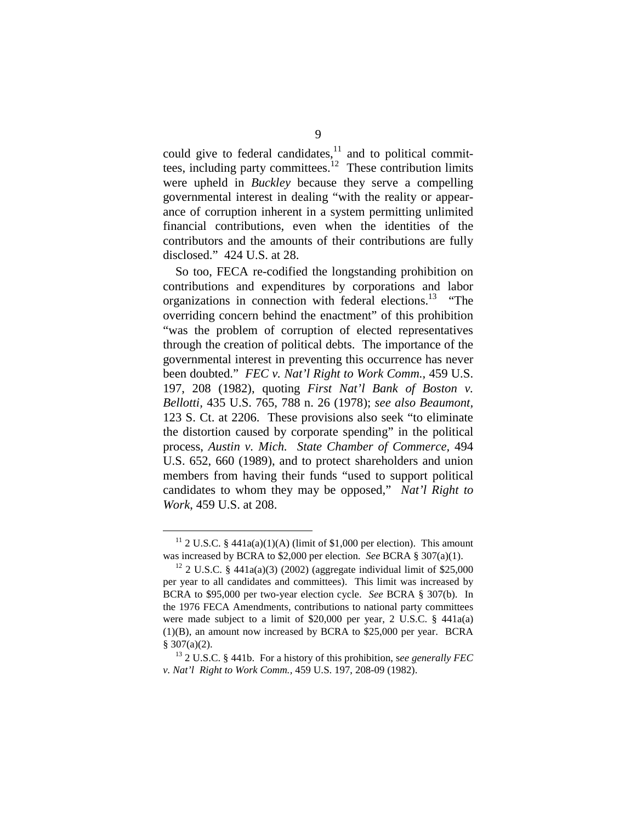could give to federal candidates, $^{11}$  and to political committees, including party committees.<sup>12</sup> These contribution limits were upheld in *Buckley* because they serve a compelling governmental interest in dealing "with the reality or appearance of corruption inherent in a system permitting unlimited financial contributions, even when the identities of the contributors and the amounts of their contributions are fully disclosed." 424 U.S. at 28.

So too, FECA re-codified the longstanding prohibition on contributions and expenditures by corporations and labor organizations in connection with federal elections.<sup>13</sup> "The overriding concern behind the enactment" of this prohibition "was the problem of corruption of elected representatives through the creation of political debts. The importance of the governmental interest in preventing this occurrence has never been doubted." *FEC v. Nat'l Right to Work Comm.,* 459 U.S. 197, 208 (1982), quoting *First Nat'l Bank of Boston v. Bellotti,* 435 U.S. 765, 788 n. 26 (1978); *see also Beaumont,*  123 S. Ct. at 2206. These provisions also seek "to eliminate the distortion caused by corporate spending" in the political process, *Austin v. Mich. State Chamber of Commerce,* 494 U.S. 652, 660 (1989), and to protect shareholders and union members from having their funds "used to support political candidates to whom they may be opposed," *Nat'l Right to Work*, 459 U.S. at 208.

<sup>&</sup>lt;sup>11</sup> 2 U.S.C. § 441a(a)(1)(A) (limit of \$1,000 per election). This amount was increased by BCRA to \$2,000 per election. *See* BCRA § 307(a)(1).<br><sup>12</sup> 2 U.S.C. § 441a(a)(3) (2002) (aggregate individual limit of \$25,000

per year to all candidates and committees). This limit was increased by BCRA to \$95,000 per two-year election cycle. *See* BCRA § 307(b). In the 1976 FECA Amendments, contributions to national party committees were made subject to a limit of \$20,000 per year, 2 U.S.C. § 441a(a) (1)(B), an amount now increased by BCRA to \$25,000 per year. BCRA § 307(a)(2). 13 2 U.S.C. § 441b. For a history of this prohibition, s*ee generally FEC* 

*v. Nat'l Right to Work Comm.,* 459 U.S. 197, 208-09 (1982).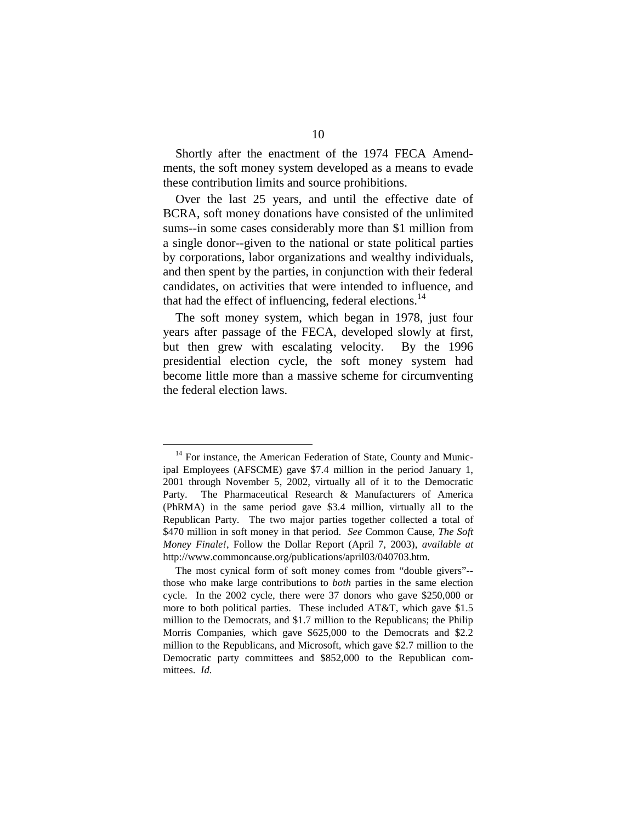Shortly after the enactment of the 1974 FECA Amendments, the soft money system developed as a means to evade these contribution limits and source prohibitions.

Over the last 25 years, and until the effective date of BCRA, soft money donations have consisted of the unlimited sums--in some cases considerably more than \$1 million from a single donor--given to the national or state political parties by corporations, labor organizations and wealthy individuals, and then spent by the parties, in conjunction with their federal candidates, on activities that were intended to influence, and that had the effect of influencing, federal elections.<sup>14</sup>

The soft money system, which began in 1978, just four years after passage of the FECA, developed slowly at first, but then grew with escalating velocity. By the 1996 presidential election cycle, the soft money system had become little more than a massive scheme for circumventing the federal election laws.

 $14$  For instance, the American Federation of State, County and Municipal Employees (AFSCME) gave \$7.4 million in the period January 1, 2001 through November 5, 2002, virtually all of it to the Democratic Party. The Pharmaceutical Research & Manufacturers of America (PhRMA) in the same period gave \$3.4 million, virtually all to the Republican Party. The two major parties together collected a total of \$470 million in soft money in that period. *See* Common Cause, *The Soft Money Finale!*, Follow the Dollar Report (April 7, 2003), *available at*  http://www.commoncause.org/publications/april03/040703.htm.

The most cynical form of soft money comes from "double givers"- those who make large contributions to *both* parties in the same election cycle. In the 2002 cycle, there were 37 donors who gave \$250,000 or more to both political parties. These included AT&T, which gave \$1.5 million to the Democrats, and \$1.7 million to the Republicans; the Philip Morris Companies, which gave \$625,000 to the Democrats and \$2.2 million to the Republicans, and Microsoft, which gave \$2.7 million to the Democratic party committees and \$852,000 to the Republican committees. *Id.*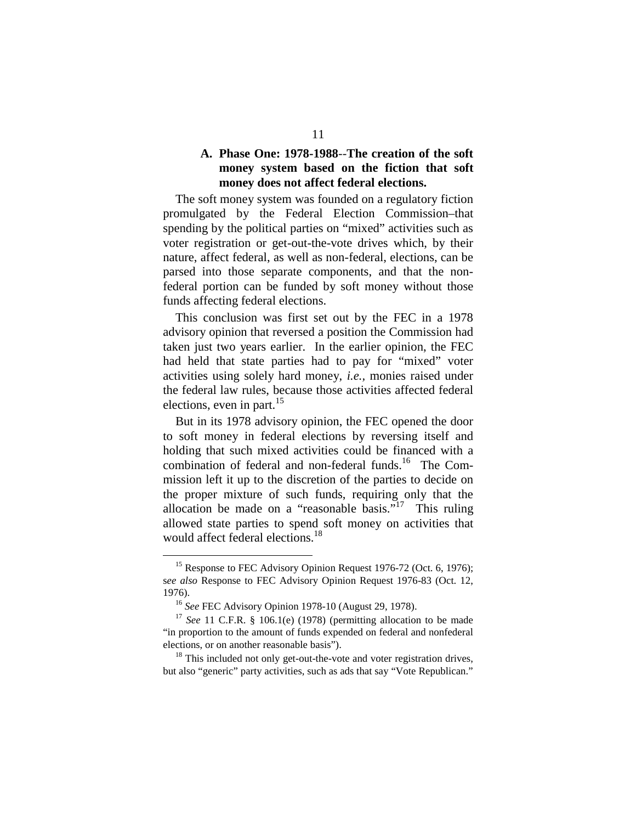#### **A. Phase One: 1978-1988**--**The creation of the soft money system based on the fiction that soft money does not affect federal elections.**

The soft money system was founded on a regulatory fiction promulgated by the Federal Election Commission–that spending by the political parties on "mixed" activities such as voter registration or get-out-the-vote drives which, by their nature, affect federal, as well as non-federal, elections, can be parsed into those separate components, and that the nonfederal portion can be funded by soft money without those funds affecting federal elections.

This conclusion was first set out by the FEC in a 1978 advisory opinion that reversed a position the Commission had taken just two years earlier. In the earlier opinion, the FEC had held that state parties had to pay for "mixed" voter activities using solely hard money, *i.e.,* monies raised under the federal law rules, because those activities affected federal elections, even in part. $15$ 

But in its 1978 advisory opinion, the FEC opened the door to soft money in federal elections by reversing itself and holding that such mixed activities could be financed with a combination of federal and non-federal funds.<sup>16</sup> The Commission left it up to the discretion of the parties to decide on the proper mixture of such funds, requiring only that the allocation be made on a "reasonable basis."<sup>17</sup> This ruling allowed state parties to spend soft money on activities that would affect federal elections.<sup>18</sup>

<sup>&</sup>lt;sup>15</sup> Response to FEC Advisory Opinion Request 1976-72 (Oct. 6, 1976); s*ee also* Response to FEC Advisory Opinion Request 1976-83 (Oct. 12, 1976).

<sup>16</sup>*See* FEC Advisory Opinion 1978-10 (August 29, 1978). 17 *See* 11 C.F.R. § 106.1(e) (1978) (permitting allocation to be made "in proportion to the amount of funds expended on federal and nonfederal elections, or on another reasonable basis").<br><sup>18</sup> This included not only get-out-the-vote and voter registration drives,

but also "generic" party activities, such as ads that say "Vote Republican."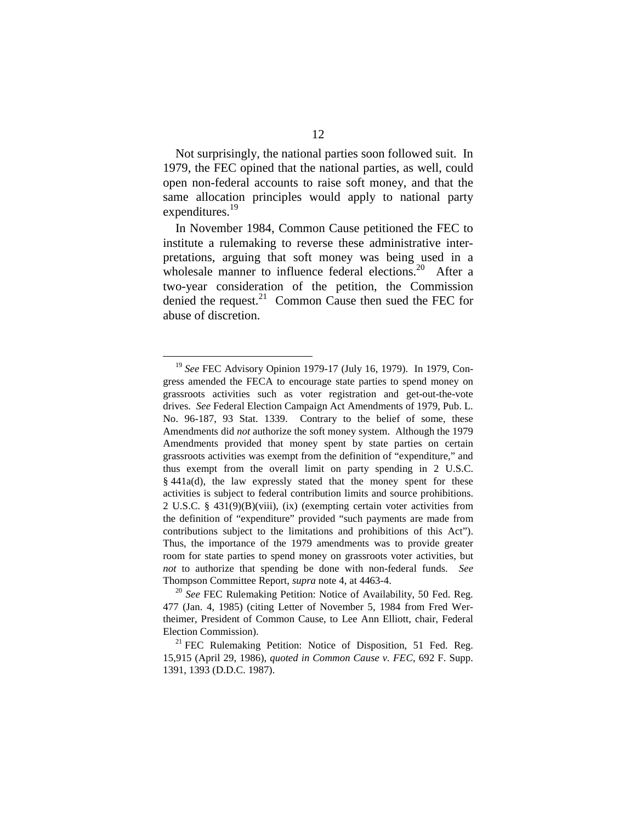Not surprisingly, the national parties soon followed suit. In 1979, the FEC opined that the national parties, as well, could open non-federal accounts to raise soft money, and that the same allocation principles would apply to national party expenditures.<sup>19</sup>

In November 1984, Common Cause petitioned the FEC to institute a rulemaking to reverse these administrative interpretations, arguing that soft money was being used in a wholesale manner to influence federal elections.<sup>20</sup> After a two-year consideration of the petition, the Commission denied the request.<sup>21</sup> Common Cause then sued the FEC for abuse of discretion.

<sup>19</sup>*See* FEC Advisory Opinion 1979-17 (July 16, 1979). In 1979, Congress amended the FECA to encourage state parties to spend money on grassroots activities such as voter registration and get-out-the-vote drives. *See* Federal Election Campaign Act Amendments of 1979, Pub. L. No. 96-187, 93 Stat. 1339. Contrary to the belief of some, these Amendments did *not* authorize the soft money system. Although the 1979 Amendments provided that money spent by state parties on certain grassroots activities was exempt from the definition of "expenditure," and thus exempt from the overall limit on party spending in 2 U.S.C. § 441a(d), the law expressly stated that the money spent for these activities is subject to federal contribution limits and source prohibitions. 2 U.S.C. § 431(9)(B)(viii), (ix) (exempting certain voter activities from the definition of "expenditure" provided "such payments are made from contributions subject to the limitations and prohibitions of this Act"). Thus, the importance of the 1979 amendments was to provide greater room for state parties to spend money on grassroots voter activities, but *not* to authorize that spending be done with non-federal funds. *See*  Thompson Committee Report, *supra* note 4, at 4463-4. 20 *See* FEC Rulemaking Petition: Notice of Availability, 50 Fed. Reg.

<sup>477 (</sup>Jan. 4, 1985) (citing Letter of November 5, 1984 from Fred Wertheimer, President of Common Cause, to Lee Ann Elliott, chair, Federal Election Commission).<br><sup>21</sup> FEC Rulemaking Petition: Notice of Disposition, 51 Fed. Reg.

<sup>15,915 (</sup>April 29, 1986), *quoted in Common Cause v. FEC,* 692 F. Supp. 1391, 1393 (D.D.C. 1987).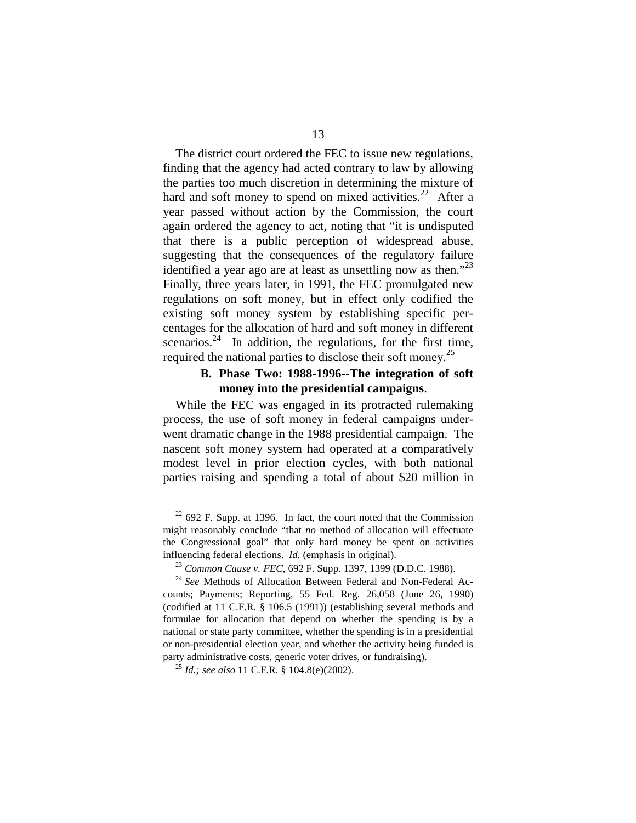The district court ordered the FEC to issue new regulations, finding that the agency had acted contrary to law by allowing the parties too much discretion in determining the mixture of hard and soft money to spend on mixed activities.<sup>22</sup> After a year passed without action by the Commission, the court again ordered the agency to act, noting that "it is undisputed that there is a public perception of widespread abuse, suggesting that the consequences of the regulatory failure identified a year ago are at least as unsettling now as then."<sup>23</sup> Finally, three years later, in 1991, the FEC promulgated new regulations on soft money, but in effect only codified the existing soft money system by establishing specific percentages for the allocation of hard and soft money in different scenarios. $^{24}$  In addition, the regulations, for the first time, required the national parties to disclose their soft money.<sup>25</sup>

#### **B. Phase Two: 1988-1996--The integration of soft money into the presidential campaigns**.

While the FEC was engaged in its protracted rulemaking process, the use of soft money in federal campaigns underwent dramatic change in the 1988 presidential campaign. The nascent soft money system had operated at a comparatively modest level in prior election cycles, with both national parties raising and spending a total of about \$20 million in

 $22$  692 F. Supp. at 1396. In fact, the court noted that the Commission might reasonably conclude "that *no* method of allocation will effectuate the Congressional goal" that only hard money be spent on activities influencing federal elections. *Id.* (emphasis in original).<br><sup>23</sup> *Common Cause v. FEC*, 692 F. Supp. 1397, 1399 (D.D.C. 1988).<br><sup>24</sup> *See* Methods of Allocation Between Federal and Non-Federal Ac-

counts; Payments; Reporting, 55 Fed. Reg. 26,058 (June 26, 1990) (codified at 11 C.F.R. § 106.5 (1991)) (establishing several methods and formulae for allocation that depend on whether the spending is by a national or state party committee, whether the spending is in a presidential or non-presidential election year, and whether the activity being funded is party administrative costs, generic voter drives, or fundraising).<br><sup>25</sup> *Id.; see also* 11 C.F.R. § 104.8(e)(2002).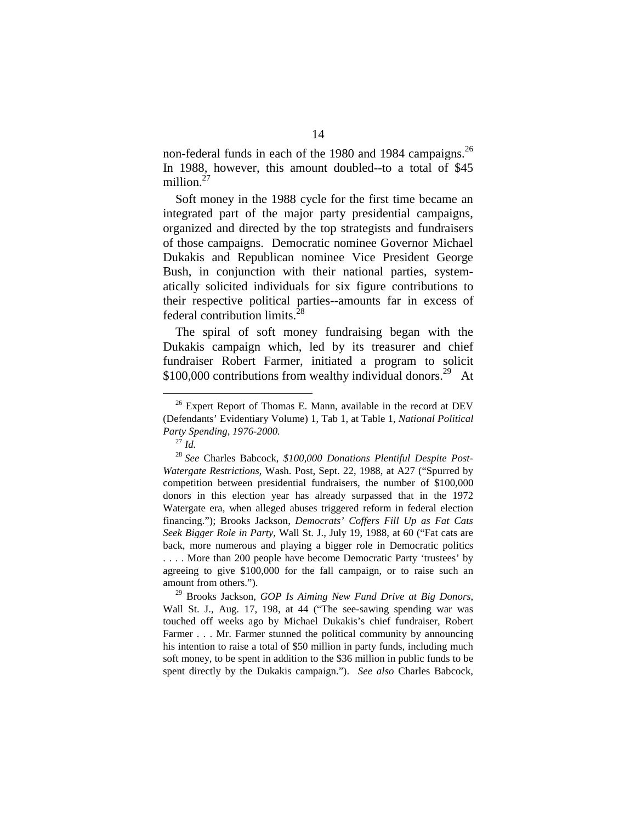non-federal funds in each of the 1980 and 1984 campaigns.<sup>26</sup> In 1988, however, this amount doubled--to a total of \$45 million.<sup>27</sup>

Soft money in the 1988 cycle for the first time became an integrated part of the major party presidential campaigns, organized and directed by the top strategists and fundraisers of those campaigns. Democratic nominee Governor Michael Dukakis and Republican nominee Vice President George Bush, in conjunction with their national parties, systematically solicited individuals for six figure contributions to their respective political parties--amounts far in excess of federal contribution limits.28

The spiral of soft money fundraising began with the Dukakis campaign which, led by its treasurer and chief fundraiser Robert Farmer, initiated a program to solicit \$100,000 contributions from wealthy individual donors.<sup>29</sup> At

<sup>&</sup>lt;sup>26</sup> Expert Report of Thomas E. Mann, available in the record at DEV (Defendants' Evidentiary Volume) 1, Tab 1, at Table 1, *National Political Party Spending, 1976-2000.* 

<sup>27</sup>*Id.* 

<sup>28</sup>*See* Charles Babcock, *\$100,000 Donations Plentiful Despite Post-Watergate Restrictions*, Wash. Post, Sept. 22, 1988, at A27 ("Spurred by competition between presidential fundraisers, the number of \$100,000 donors in this election year has already surpassed that in the 1972 Watergate era, when alleged abuses triggered reform in federal election financing."); Brooks Jackson, *Democrats' Coffers Fill Up as Fat Cats Seek Bigger Role in Party*, Wall St. J., July 19, 1988, at 60 ("Fat cats are back, more numerous and playing a bigger role in Democratic politics . . . . More than 200 people have become Democratic Party 'trustees' by agreeing to give \$100,000 for the fall campaign, or to raise such an amount from others.").

<sup>29</sup> Brooks Jackson, *GOP Is Aiming New Fund Drive at Big Donors*, Wall St. J., Aug. 17, 198, at 44 ("The see-sawing spending war was touched off weeks ago by Michael Dukakis's chief fundraiser, Robert Farmer . . . Mr. Farmer stunned the political community by announcing his intention to raise a total of \$50 million in party funds, including much soft money, to be spent in addition to the \$36 million in public funds to be spent directly by the Dukakis campaign."). *See also* Charles Babcock*,*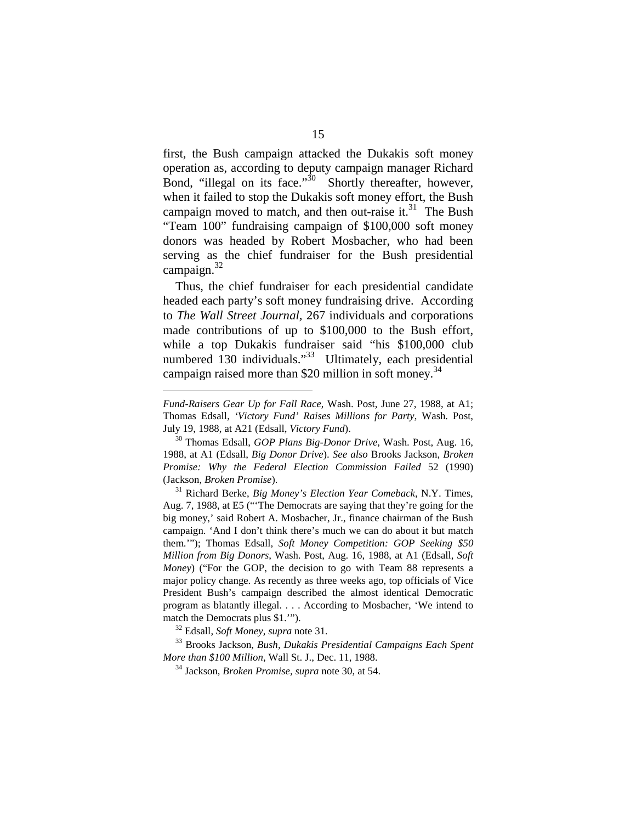first, the Bush campaign attacked the Dukakis soft money operation as, according to deputy campaign manager Richard Bond, "illegal on its face."<sup>30</sup> Shortly thereafter, however, when it failed to stop the Dukakis soft money effort, the Bush campaign moved to match, and then out-raise it.<sup>31</sup> The Bush "Team 100" fundraising campaign of \$100,000 soft money donors was headed by Robert Mosbacher, who had been serving as the chief fundraiser for the Bush presidential campaign. $32$ 

Thus, the chief fundraiser for each presidential candidate headed each party's soft money fundraising drive. According to *The Wall Street Journal,* 267 individuals and corporations made contributions of up to \$100,000 to the Bush effort, while a top Dukakis fundraiser said "his \$100,000 club numbered 130 individuals."<sup>33</sup> Ultimately, each presidential campaign raised more than \$20 million in soft money. 34

33 Brooks Jackson, *Bush, Dukakis Presidential Campaigns Each Spent More than \$100 Million*, Wall St. J., Dec. 11, 1988. 34 Jackson, *Broken Promise, supra* note 30, at 54.

*Fund-Raisers Gear Up for Fall Race*, Wash. Post, June 27, 1988, at A1; Thomas Edsall, *'Victory Fund' Raises Millions for Party*, Wash. Post, July 19, 1988, at A21 (Edsall, *Victory Fund*). 30 Thomas Edsall, *GOP Plans Big-Donor Drive*, Wash. Post, Aug. 16,

<sup>1988,</sup> at A1 (Edsall, *Big Donor Drive*). *See also* Brooks Jackson, *Broken Promise: Why the Federal Election Commission Failed* 52 (1990) (Jackson, *Broken Promise*). 31 Richard Berke, *Big Money's Election Year Comeback*, N.Y. Times,

Aug. 7, 1988, at E5 ("'The Democrats are saying that they're going for the big money,' said Robert A. Mosbacher, Jr., finance chairman of the Bush campaign. 'And I don't think there's much we can do about it but match them.'"); Thomas Edsall, *Soft Money Competition: GOP Seeking \$50 Million from Big Donors*, Wash. Post, Aug. 16, 1988, at A1 (Edsall, *Soft Money*) ("For the GOP, the decision to go with Team 88 represents a major policy change. As recently as three weeks ago, top officials of Vice President Bush's campaign described the almost identical Democratic program as blatantly illegal. . . . According to Mosbacher, 'We intend to match the Democrats plus \$1."").<br><sup>32</sup> Edsall, *Soft Money*, *supra* note 31.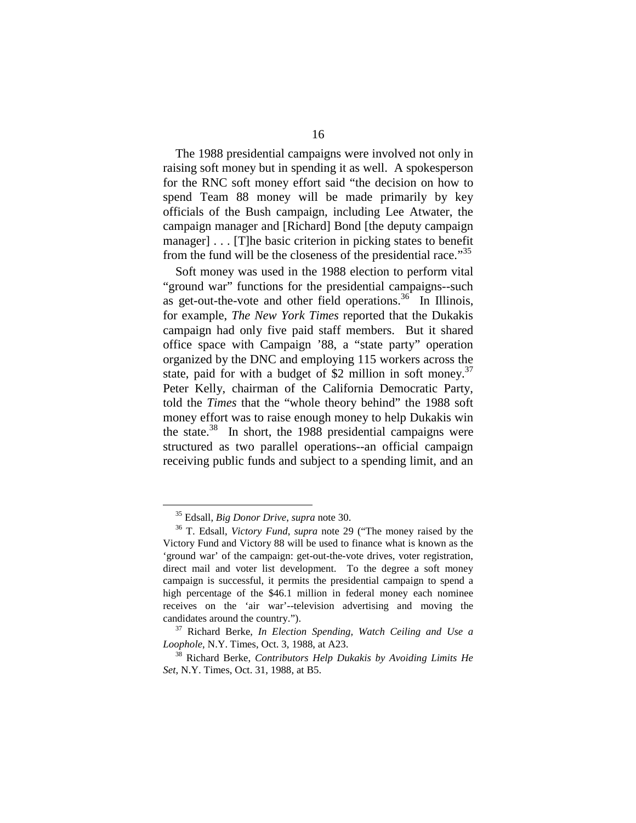The 1988 presidential campaigns were involved not only in raising soft money but in spending it as well. A spokesperson for the RNC soft money effort said "the decision on how to spend Team 88 money will be made primarily by key officials of the Bush campaign, including Lee Atwater, the campaign manager and [Richard] Bond [the deputy campaign manager] . . . [T]he basic criterion in picking states to benefit from the fund will be the closeness of the presidential race."<sup>35</sup>

Soft money was used in the 1988 election to perform vital "ground war" functions for the presidential campaigns--such as get-out-the-vote and other field operations.<sup>36</sup> In Illinois, for example, *The New York Times* reported that the Dukakis campaign had only five paid staff members. But it shared office space with Campaign '88, a "state party" operation organized by the DNC and employing 115 workers across the state, paid for with a budget of \$2 million in soft money.<sup>37</sup> Peter Kelly, chairman of the California Democratic Party, told the *Times* that the "whole theory behind" the 1988 soft money effort was to raise enough money to help Dukakis win the state.<sup>38</sup> In short, the 1988 presidential campaigns were structured as two parallel operations--an official campaign receiving public funds and subject to a spending limit, and an

<sup>&</sup>lt;sup>35</sup> Edsall, *Big Donor Drive*, *supra* note 30.<br><sup>36</sup> T. Edsall, *Victory Fund*, *supra* note 29 ("The money raised by the Victory Fund and Victory 88 will be used to finance what is known as the 'ground war' of the campaign: get-out-the-vote drives, voter registration, direct mail and voter list development. To the degree a soft money campaign is successful, it permits the presidential campaign to spend a high percentage of the \$46.1 million in federal money each nominee receives on the 'air war'--television advertising and moving the

candidates around the country."). 37 Richard Berke, *In Election Spending, Watch Ceiling and Use a* 

<sup>&</sup>lt;sup>38</sup> Richard Berke, *Contributors Help Dukakis by Avoiding Limits He Set*, N.Y. Times, Oct. 31, 1988, at B5.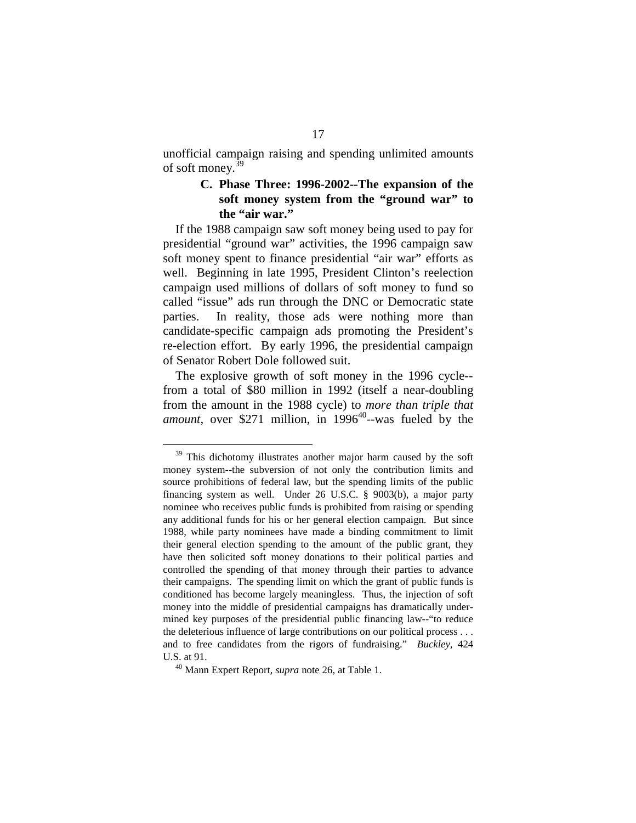unofficial campaign raising and spending unlimited amounts of soft money.<sup>39</sup>

#### **C. Phase Three: 1996-2002--The expansion of the soft money system from the "ground war" to the "air war."**

If the 1988 campaign saw soft money being used to pay for presidential "ground war" activities, the 1996 campaign saw soft money spent to finance presidential "air war" efforts as well. Beginning in late 1995, President Clinton's reelection campaign used millions of dollars of soft money to fund so called "issue" ads run through the DNC or Democratic state parties. In reality, those ads were nothing more than candidate-specific campaign ads promoting the President's re-election effort. By early 1996, the presidential campaign of Senator Robert Dole followed suit.

The explosive growth of soft money in the 1996 cycle from a total of \$80 million in 1992 (itself a near-doubling from the amount in the 1988 cycle) to *more than triple that amount,* over \$271 million, in  $1996^{40}$ --was fueled by the

<sup>&</sup>lt;sup>39</sup> This dichotomy illustrates another major harm caused by the soft money system--the subversion of not only the contribution limits and source prohibitions of federal law, but the spending limits of the public financing system as well. Under 26 U.S.C. § 9003(b), a major party nominee who receives public funds is prohibited from raising or spending any additional funds for his or her general election campaign. But since 1988, while party nominees have made a binding commitment to limit their general election spending to the amount of the public grant, they have then solicited soft money donations to their political parties and controlled the spending of that money through their parties to advance their campaigns. The spending limit on which the grant of public funds is conditioned has become largely meaningless. Thus, the injection of soft money into the middle of presidential campaigns has dramatically undermined key purposes of the presidential public financing law--"to reduce the deleterious influence of large contributions on our political process . . . and to free candidates from the rigors of fundraising." *Buckley*, 424 U.S. at 91. 40 Mann Expert Report, *supra* note 26, at Table 1.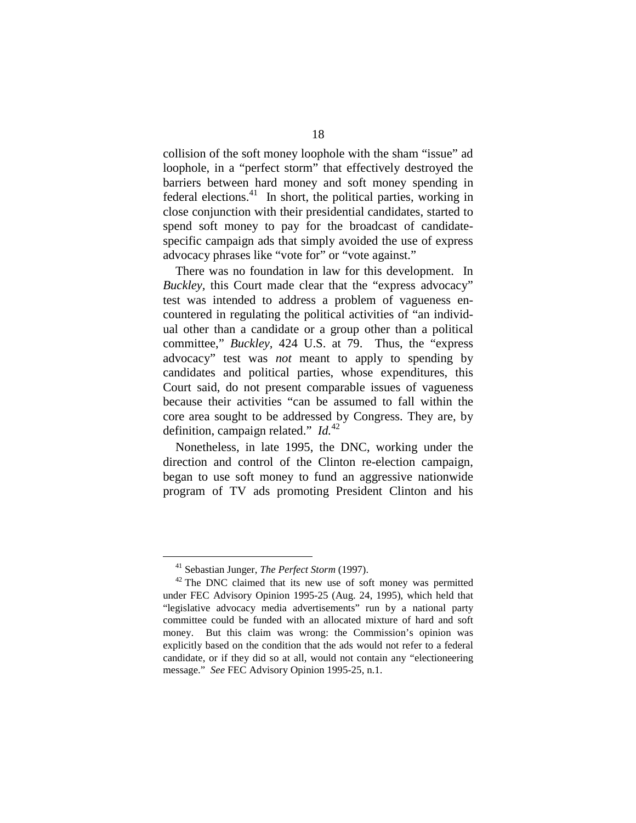collision of the soft money loophole with the sham "issue" ad loophole, in a "perfect storm" that effectively destroyed the barriers between hard money and soft money spending in federal elections.<sup>41</sup> In short, the political parties, working in close conjunction with their presidential candidates, started to spend soft money to pay for the broadcast of candidatespecific campaign ads that simply avoided the use of express advocacy phrases like "vote for" or "vote against."

There was no foundation in law for this development. In *Buckley,* this Court made clear that the "express advocacy" test was intended to address a problem of vagueness encountered in regulating the political activities of "an individual other than a candidate or a group other than a political committee," *Buckley,* 424 U.S. at 79. Thus, the "express advocacy" test was *not* meant to apply to spending by candidates and political parties, whose expenditures, this Court said, do not present comparable issues of vagueness because their activities "can be assumed to fall within the core area sought to be addressed by Congress. They are, by definition, campaign related." *Id.*<sup>42</sup>

Nonetheless, in late 1995, the DNC, working under the direction and control of the Clinton re-election campaign, began to use soft money to fund an aggressive nationwide program of TV ads promoting President Clinton and his

<sup>&</sup>lt;sup>41</sup> Sebastian Junger, *The Perfect Storm* (1997).<br><sup>42</sup> The DNC claimed that its new use of soft money was permitted under FEC Advisory Opinion 1995-25 (Aug. 24, 1995), which held that "legislative advocacy media advertisements" run by a national party committee could be funded with an allocated mixture of hard and soft money. But this claim was wrong: the Commission's opinion was explicitly based on the condition that the ads would not refer to a federal candidate, or if they did so at all, would not contain any "electioneering message." *See* FEC Advisory Opinion 1995-25, n.1.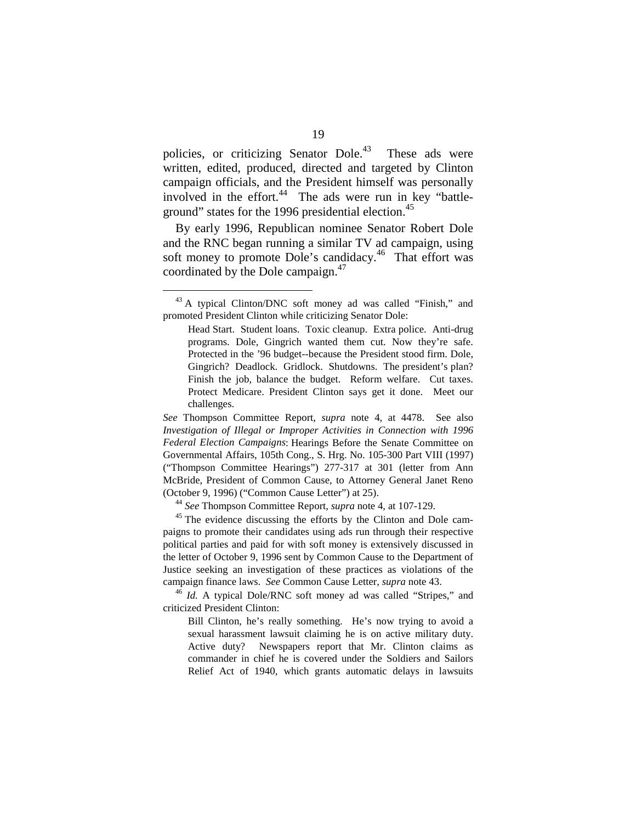policies, or criticizing Senator Dole. These ads were written, edited, produced, directed and targeted by Clinton campaign officials, and the President himself was personally involved in the effort. $44$  The ads were run in key "battleground" states for the 1996 presidential election.<sup>45</sup>

By early 1996, Republican nominee Senator Robert Dole and the RNC began running a similar TV ad campaign, using soft money to promote Dole's candidacy.<sup>46</sup> That effort was coordinated by the Dole campaign.<sup>47</sup>

paigns to promote their candidates using ads run through their respective political parties and paid for with soft money is extensively discussed in the letter of October 9, 1996 sent by Common Cause to the Department of Justice seeking an investigation of these practices as violations of the campaign finance laws. *See* Common Cause Letter, *supra* note 43. 46 *Id.* A typical Dole/RNC soft money ad was called "Stripes," and

criticized President Clinton:

Bill Clinton, he's really something. He's now trying to avoid a sexual harassment lawsuit claiming he is on active military duty. Active duty? Newspapers report that Mr. Clinton claims as commander in chief he is covered under the Soldiers and Sailors Relief Act of 1940, which grants automatic delays in lawsuits

<sup>&</sup>lt;sup>43</sup> A typical Clinton/DNC soft money ad was called "Finish," and promoted President Clinton while criticizing Senator Dole:

Head Start. Student loans. Toxic cleanup. Extra police. Anti-drug programs. Dole, Gingrich wanted them cut. Now they're safe. Protected in the '96 budget--because the President stood firm. Dole, Gingrich? Deadlock. Gridlock. Shutdowns. The president's plan? Finish the job, balance the budget. Reform welfare. Cut taxes. Protect Medicare. President Clinton says get it done. Meet our challenges.

*See* Thompson Committee Report, *supra* note 4, at 4478. See also *Investigation of Illegal or Improper Activities in Connection with 1996 Federal Election Campaigns*: Hearings Before the Senate Committee on Governmental Affairs, 105th Cong., S. Hrg. No. 105-300 Part VIII (1997) ("Thompson Committee Hearings") 277-317 at 301 (letter from Ann McBride, President of Common Cause, to Attorney General Janet Reno (October 9, 1996) ("Common Cause Letter") at 25). 44 *See* Thompson Committee Report, *supra* note 4, at 107-129. 45 The evidence discussing the efforts by the Clinton and Dole cam-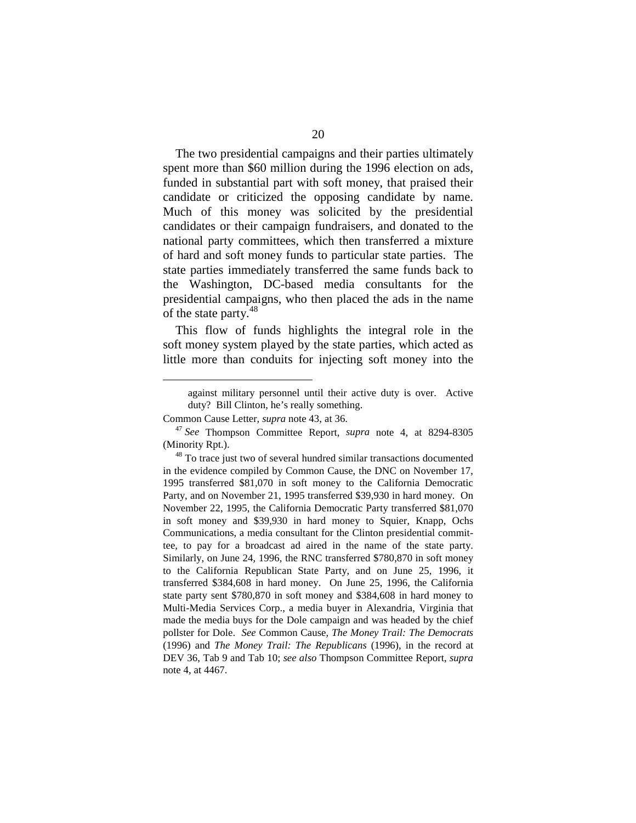The two presidential campaigns and their parties ultimately spent more than \$60 million during the 1996 election on ads, funded in substantial part with soft money, that praised their candidate or criticized the opposing candidate by name. Much of this money was solicited by the presidential candidates or their campaign fundraisers, and donated to the national party committees, which then transferred a mixture of hard and soft money funds to particular state parties. The state parties immediately transferred the same funds back to the Washington, DC-based media consultants for the presidential campaigns, who then placed the ads in the name of the state party.<sup>48</sup>

This flow of funds highlights the integral role in the soft money system played by the state parties, which acted as little more than conduits for injecting soft money into the

against military personnel until their active duty is over. Active duty? Bill Clinton, he's really something.

Common Cause Letter, *supra* note 43, at 36. 47 *See* Thompson Committee Report, *supra* note 4, at 8294-8305 (Minority Rpt.).<br><sup>48</sup> To trace just two of several hundred similar transactions documented

in the evidence compiled by Common Cause, the DNC on November 17, 1995 transferred \$81,070 in soft money to the California Democratic Party, and on November 21, 1995 transferred \$39,930 in hard money. On November 22, 1995, the California Democratic Party transferred \$81,070 in soft money and \$39,930 in hard money to Squier, Knapp, Ochs Communications, a media consultant for the Clinton presidential committee, to pay for a broadcast ad aired in the name of the state party. Similarly, on June 24, 1996, the RNC transferred \$780,870 in soft money to the California Republican State Party, and on June 25, 1996, it transferred \$384,608 in hard money. On June 25, 1996, the California state party sent \$780,870 in soft money and \$384,608 in hard money to Multi-Media Services Corp., a media buyer in Alexandria, Virginia that made the media buys for the Dole campaign and was headed by the chief pollster for Dole. *See* Common Cause, *The Money Trail: The Democrats*  (1996) and *The Money Trail: The Republicans* (1996), in the record at DEV 36, Tab 9 and Tab 10; *see also* Thompson Committee Report, *supra*  note 4, at 4467.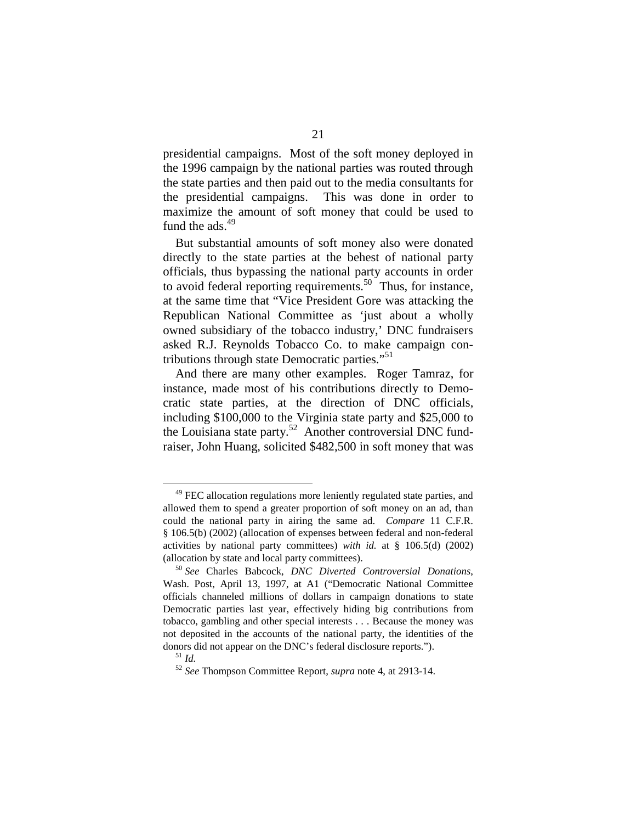presidential campaigns. Most of the soft money deployed in the 1996 campaign by the national parties was routed through the state parties and then paid out to the media consultants for the presidential campaigns. This was done in order to maximize the amount of soft money that could be used to fund the ads $^{49}$ 

But substantial amounts of soft money also were donated directly to the state parties at the behest of national party officials, thus bypassing the national party accounts in order to avoid federal reporting requirements.<sup>50</sup> Thus, for instance, at the same time that "Vice President Gore was attacking the Republican National Committee as 'just about a wholly owned subsidiary of the tobacco industry,' DNC fundraisers asked R.J. Reynolds Tobacco Co. to make campaign contributions through state Democratic parties."<sup>51</sup>

And there are many other examples. Roger Tamraz, for instance, made most of his contributions directly to Democratic state parties, at the direction of DNC officials, including \$100,000 to the Virginia state party and \$25,000 to the Louisiana state party.<sup>52</sup> Another controversial DNC fundraiser, John Huang, solicited \$482,500 in soft money that was

 $49$  FEC allocation regulations more leniently regulated state parties, and allowed them to spend a greater proportion of soft money on an ad, than could the national party in airing the same ad. *Compare* 11 C.F.R. § 106.5(b) (2002) (allocation of expenses between federal and non-federal activities by national party committees) *with id.* at § 106.5(d) (2002) (allocation by state and local party committees). 50 *See* Charles Babcock, *DNC Diverted Controversial Donations*,

Wash. Post, April 13, 1997, at A1 ("Democratic National Committee officials channeled millions of dollars in campaign donations to state Democratic parties last year, effectively hiding big contributions from tobacco, gambling and other special interests . . . Because the money was not deposited in the accounts of the national party, the identities of the donors did not appear on the DNC's federal disclosure reports."). 51 *Id.* 

<sup>52</sup>*See* Thompson Committee Report, *supra* note 4, at 2913-14.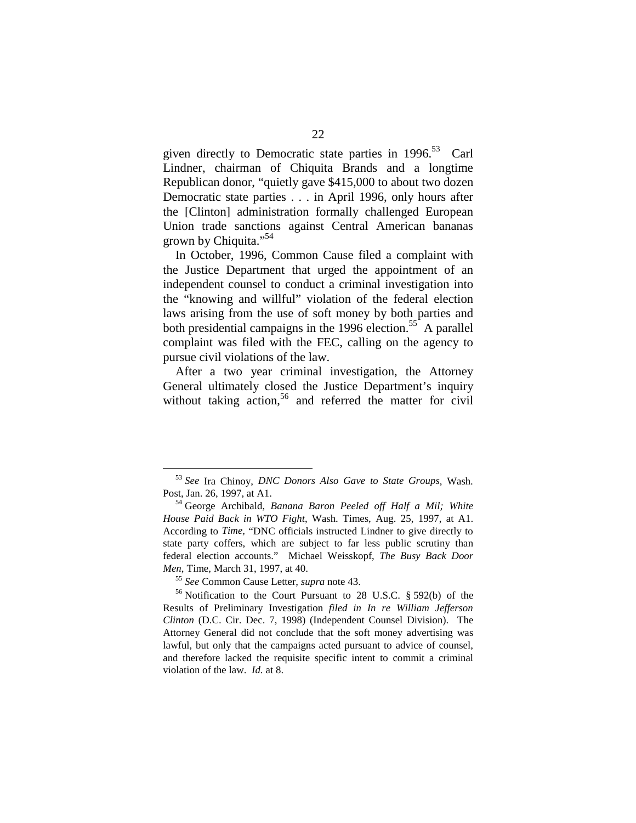given directly to Democratic state parties in 1996.<sup>53</sup> Carl Lindner, chairman of Chiquita Brands and a longtime Republican donor, "quietly gave \$415,000 to about two dozen Democratic state parties . . . in April 1996, only hours after the [Clinton] administration formally challenged European Union trade sanctions against Central American bananas grown by Chiquita."<sup>54</sup>

In October, 1996, Common Cause filed a complaint with the Justice Department that urged the appointment of an independent counsel to conduct a criminal investigation into the "knowing and willful" violation of the federal election laws arising from the use of soft money by both parties and both presidential campaigns in the 1996 election.<sup>55</sup> A parallel complaint was filed with the FEC, calling on the agency to pursue civil violations of the law.

After a two year criminal investigation, the Attorney General ultimately closed the Justice Department's inquiry without taking action,  $56$  and referred the matter for civil

<sup>53</sup>*See* Ira Chinoy, *DNC Donors Also Gave to State Groups*, Wash. Post, Jan. 26, 1997, at A1. 54 George Archibald, *Banana Baron Peeled off Half a Mil; White* 

*House Paid Back in WTO Fight*, Wash. Times, Aug. 25, 1997, at A1. According to *Time,* "DNC officials instructed Lindner to give directly to state party coffers, which are subject to far less public scrutiny than federal election accounts." Michael Weisskopf, *The Busy Back Door Men*, Time, March 31, 1997, at 40.<br><sup>55</sup> *See* Common Cause Letter, *supra* note 43.<br><sup>56</sup> Notification to the Court Pursuant to 28 U.S.C. § 592(b) of the

Results of Preliminary Investigation *filed in In re William Jefferson Clinton* (D.C. Cir. Dec. 7, 1998) (Independent Counsel Division). The Attorney General did not conclude that the soft money advertising was lawful, but only that the campaigns acted pursuant to advice of counsel, and therefore lacked the requisite specific intent to commit a criminal violation of the law. *Id.* at 8.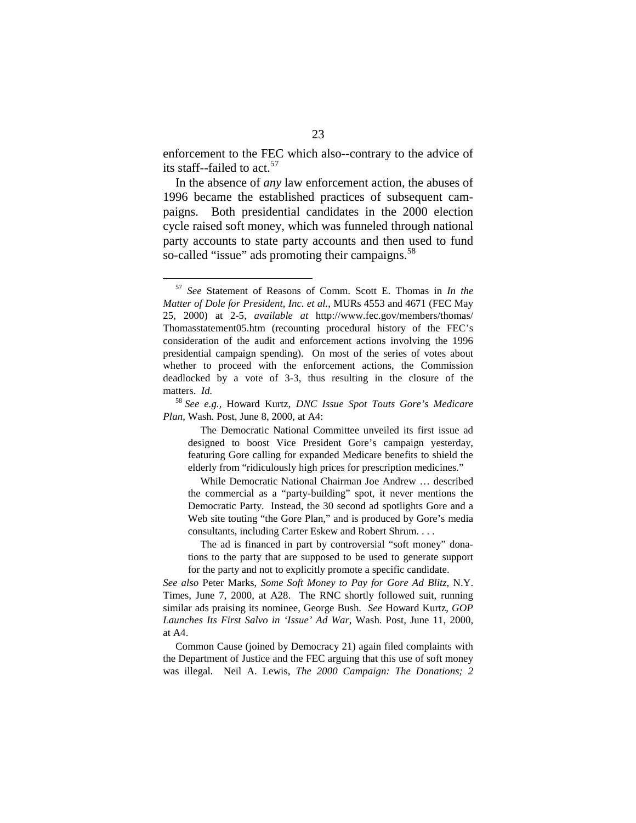enforcement to the FEC which also--contrary to the advice of its staff--failed to act.<sup>57</sup>

In the absence of *any* law enforcement action, the abuses of 1996 became the established practices of subsequent campaigns. Both presidential candidates in the 2000 election cycle raised soft money, which was funneled through national party accounts to state party accounts and then used to fund so-called "issue" ads promoting their campaigns.<sup>58</sup>

While Democratic National Chairman Joe Andrew … described the commercial as a "party-building" spot, it never mentions the Democratic Party. Instead, the 30 second ad spotlights Gore and a Web site touting "the Gore Plan," and is produced by Gore's media consultants, including Carter Eskew and Robert Shrum. . . .

<sup>57</sup>*See* Statement of Reasons of Comm. Scott E. Thomas in *In the Matter of Dole for President, Inc. et al.*, MURs 4553 and 4671 (FEC May 25, 2000) at 2-5, *available at* http://www.fec.gov/members/thomas/ Thomasstatement05.htm (recounting procedural history of the FEC's consideration of the audit and enforcement actions involving the 1996 presidential campaign spending). On most of the series of votes about whether to proceed with the enforcement actions, the Commission deadlocked by a vote of 3-3, thus resulting in the closure of the matters. *Id.* 

<sup>58</sup>*See e.g.,* Howard Kurtz, *DNC Issue Spot Touts Gore's Medicare Plan*, Wash. Post, June 8, 2000, at A4:

The Democratic National Committee unveiled its first issue ad designed to boost Vice President Gore's campaign yesterday, featuring Gore calling for expanded Medicare benefits to shield the elderly from "ridiculously high prices for prescription medicines."

The ad is financed in part by controversial "soft money" donations to the party that are supposed to be used to generate support for the party and not to explicitly promote a specific candidate.

*See also* Peter Marks, *Some Soft Money to Pay for Gore Ad Blitz*, N.Y. Times, June 7, 2000, at A28. The RNC shortly followed suit, running similar ads praising its nominee, George Bush. *See* Howard Kurtz, *GOP Launches Its First Salvo in 'Issue' Ad War*, Wash. Post, June 11, 2000, at A4.

Common Cause (joined by Democracy 21) again filed complaints with the Department of Justice and the FEC arguing that this use of soft money was illegal. Neil A. Lewis, *The 2000 Campaign: The Donations; 2*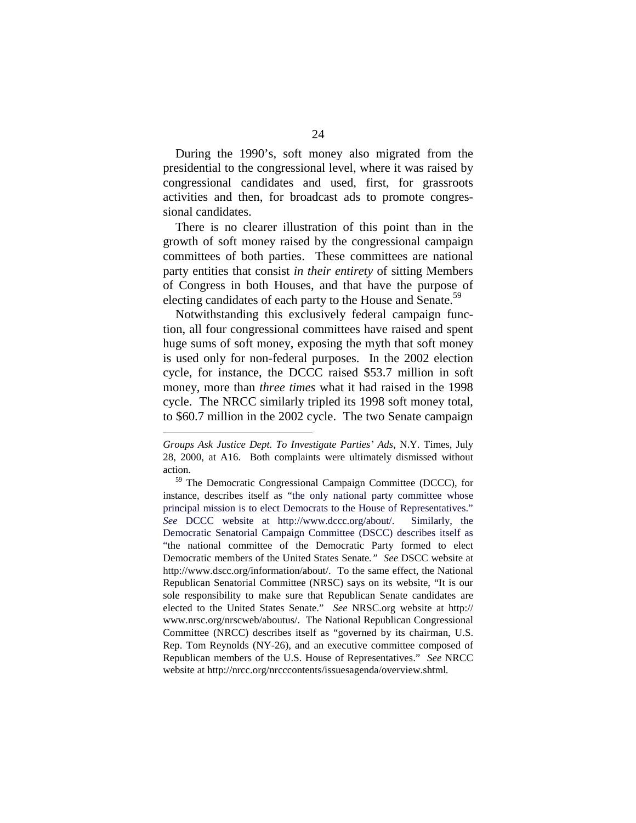During the 1990's, soft money also migrated from the presidential to the congressional level, where it was raised by congressional candidates and used, first, for grassroots activities and then, for broadcast ads to promote congressional candidates.

There is no clearer illustration of this point than in the growth of soft money raised by the congressional campaign committees of both parties. These committees are national party entities that consist *in their entirety* of sitting Members of Congress in both Houses, and that have the purpose of electing candidates of each party to the House and Senate.<sup>59</sup>

Notwithstanding this exclusively federal campaign function, all four congressional committees have raised and spent huge sums of soft money, exposing the myth that soft money is used only for non-federal purposes. In the 2002 election cycle, for instance, the DCCC raised \$53.7 million in soft money, more than *three times* what it had raised in the 1998 cycle. The NRCC similarly tripled its 1998 soft money total, to \$60.7 million in the 2002 cycle. The two Senate campaign

*Groups Ask Justice Dept. To Investigate Parties' Ads*, N.Y. Times, July 28, 2000, at A16. Both complaints were ultimately dismissed without

action. 59 The Democratic Congressional Campaign Committee (DCCC), for instance, describes itself as "the only national party committee whose principal mission is to elect Democrats to the House of Representatives." *See* DCCC website at http://www.dccc.org/about/. Similarly, the Democratic Senatorial Campaign Committee (DSCC) describes itself as "the national committee of the Democratic Party formed to elect Democratic members of the United States Senate*." See* DSCC website at http://www.dscc.org/information/about/. To the same effect, the National Republican Senatorial Committee (NRSC) says on its website, "It is our sole responsibility to make sure that Republican Senate candidates are elected to the United States Senate." *See* NRSC.org website at http:// www.nrsc.org/nrscweb/aboutus/. The National Republican Congressional Committee (NRCC) describes itself as "governed by its chairman, U.S. Rep. Tom Reynolds (NY-26), and an executive committee composed of Republican members of the U.S. House of Representatives." *See* NRCC website at http://nrcc.org/nrcccontents/issuesagenda/overview.shtml*.*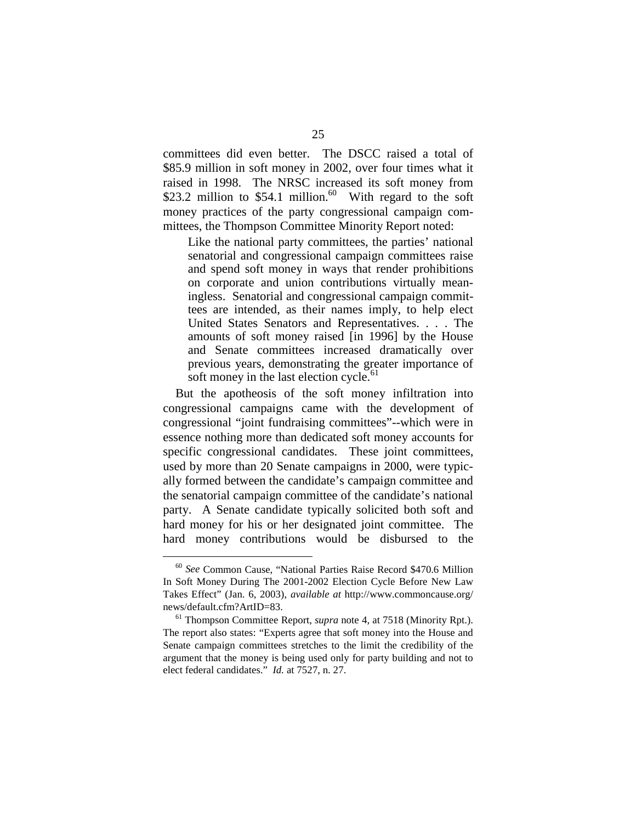committees did even better. The DSCC raised a total of \$85.9 million in soft money in 2002, over four times what it raised in 1998. The NRSC increased its soft money from \$23.2 million to \$54.1 million.<sup>60</sup> With regard to the soft money practices of the party congressional campaign committees, the Thompson Committee Minority Report noted:

Like the national party committees, the parties' national senatorial and congressional campaign committees raise and spend soft money in ways that render prohibitions on corporate and union contributions virtually meaningless. Senatorial and congressional campaign committees are intended, as their names imply, to help elect United States Senators and Representatives. . . . The amounts of soft money raised [in 1996] by the House and Senate committees increased dramatically over previous years, demonstrating the greater importance of soft money in the last election cycle.<sup>61</sup>

But the apotheosis of the soft money infiltration into congressional campaigns came with the development of congressional "joint fundraising committees"--which were in essence nothing more than dedicated soft money accounts for specific congressional candidates. These joint committees, used by more than 20 Senate campaigns in 2000, were typically formed between the candidate's campaign committee and the senatorial campaign committee of the candidate's national party. A Senate candidate typically solicited both soft and hard money for his or her designated joint committee. The hard money contributions would be disbursed to the

<sup>60</sup>*See* Common Cause, "National Parties Raise Record \$470.6 Million In Soft Money During The 2001-2002 Election Cycle Before New Law Takes Effect" (Jan. 6, 2003), *available at* http://www.commoncause.org/ news/default.cfm?ArtID=83. 61 Thompson Committee Report, *supra* note 4, at 7518 (Minority Rpt.).

The report also states: "Experts agree that soft money into the House and Senate campaign committees stretches to the limit the credibility of the argument that the money is being used only for party building and not to elect federal candidates." *Id.* at 7527, n. 27.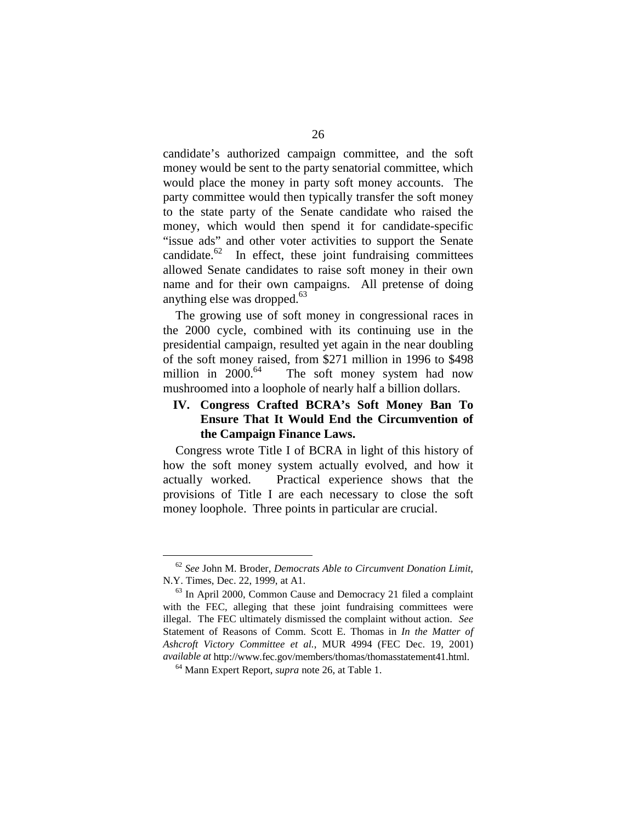candidate's authorized campaign committee, and the soft money would be sent to the party senatorial committee, which would place the money in party soft money accounts. The party committee would then typically transfer the soft money to the state party of the Senate candidate who raised the money, which would then spend it for candidate-specific "issue ads" and other voter activities to support the Senate candidate. $62$  In effect, these joint fundraising committees allowed Senate candidates to raise soft money in their own name and for their own campaigns. All pretense of doing anything else was dropped. 63

The growing use of soft money in congressional races in the 2000 cycle, combined with its continuing use in the presidential campaign, resulted yet again in the near doubling of the soft money raised, from \$271 million in 1996 to \$498 million in  $2000$ <sup>64</sup> The soft money system had now mushroomed into a loophole of nearly half a billion dollars.

#### **IV. Congress Crafted BCRA's Soft Money Ban To Ensure That It Would End the Circumvention of the Campaign Finance Laws.**

Congress wrote Title I of BCRA in light of this history of how the soft money system actually evolved, and how it actually worked. Practical experience shows that the provisions of Title I are each necessary to close the soft money loophole. Three points in particular are crucial.

<sup>62</sup>*See* John M. Broder, *Democrats Able to Circumvent Donation Limit*, N.Y. Times, Dec. 22, 1999, at A1.<br><sup>63</sup> In April 2000, Common Cause and Democracy 21 filed a complaint

with the FEC, alleging that these joint fundraising committees were illegal. The FEC ultimately dismissed the complaint without action. *See*  Statement of Reasons of Comm. Scott E. Thomas in *In the Matter of Ashcroft Victory Committee et al.*, MUR 4994 (FEC Dec. 19, 2001) *available at* http://www.fec.gov/members/thomas/thomasstatement41.html. 64 Mann Expert Report, *supra* note 26, at Table 1.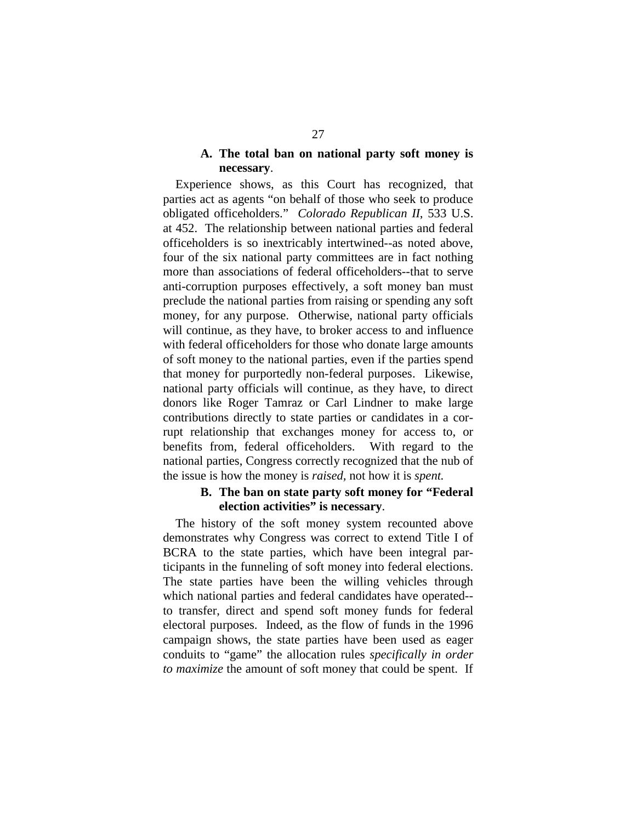#### **A. The total ban on national party soft money is necessary**.

Experience shows, as this Court has recognized, that parties act as agents "on behalf of those who seek to produce obligated officeholders." *Colorado Republican II*, 533 U.S. at 452. The relationship between national parties and federal officeholders is so inextricably intertwined--as noted above, four of the six national party committees are in fact nothing more than associations of federal officeholders--that to serve anti-corruption purposes effectively, a soft money ban must preclude the national parties from raising or spending any soft money, for any purpose. Otherwise, national party officials will continue, as they have, to broker access to and influence with federal officeholders for those who donate large amounts of soft money to the national parties, even if the parties spend that money for purportedly non-federal purposes. Likewise, national party officials will continue, as they have, to direct donors like Roger Tamraz or Carl Lindner to make large contributions directly to state parties or candidates in a corrupt relationship that exchanges money for access to, or benefits from, federal officeholders. With regard to the national parties, Congress correctly recognized that the nub of the issue is how the money is *raised,* not how it is *spent.* 

#### **B. The ban on state party soft money for "Federal election activities" is necessary**.

The history of the soft money system recounted above demonstrates why Congress was correct to extend Title I of BCRA to the state parties, which have been integral participants in the funneling of soft money into federal elections. The state parties have been the willing vehicles through which national parties and federal candidates have operated to transfer, direct and spend soft money funds for federal electoral purposes. Indeed, as the flow of funds in the 1996 campaign shows, the state parties have been used as eager conduits to "game" the allocation rules *specifically in order to maximize* the amount of soft money that could be spent. If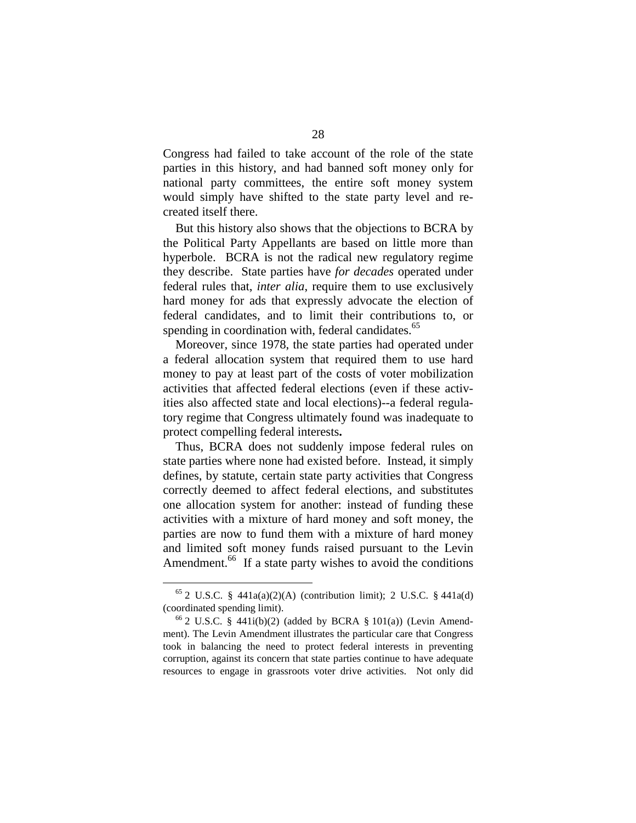Congress had failed to take account of the role of the state parties in this history, and had banned soft money only for national party committees, the entire soft money system would simply have shifted to the state party level and recreated itself there.

But this history also shows that the objections to BCRA by the Political Party Appellants are based on little more than hyperbole. BCRA is not the radical new regulatory regime they describe. State parties have *for decades* operated under federal rules that, *inter alia*, require them to use exclusively hard money for ads that expressly advocate the election of federal candidates, and to limit their contributions to, or spending in coordination with, federal candidates.<sup>65</sup>

Moreover, since 1978, the state parties had operated under a federal allocation system that required them to use hard money to pay at least part of the costs of voter mobilization activities that affected federal elections (even if these activities also affected state and local elections)--a federal regulatory regime that Congress ultimately found was inadequate to protect compelling federal interests**.** 

Thus, BCRA does not suddenly impose federal rules on state parties where none had existed before. Instead, it simply defines, by statute, certain state party activities that Congress correctly deemed to affect federal elections, and substitutes one allocation system for another: instead of funding these activities with a mixture of hard money and soft money, the parties are now to fund them with a mixture of hard money and limited soft money funds raised pursuant to the Levin Amendment.<sup>66</sup> If a state party wishes to avoid the conditions

<sup>&</sup>lt;sup>65</sup> 2 U.S.C. § 441a(a)(2)(A) (contribution limit); 2 U.S.C. § 441a(d) (coordinated spending limit).

 $66$  2 U.S.C. § 441i(b)(2) (added by BCRA § 101(a)) (Levin Amendment). The Levin Amendment illustrates the particular care that Congress took in balancing the need to protect federal interests in preventing corruption, against its concern that state parties continue to have adequate resources to engage in grassroots voter drive activities. Not only did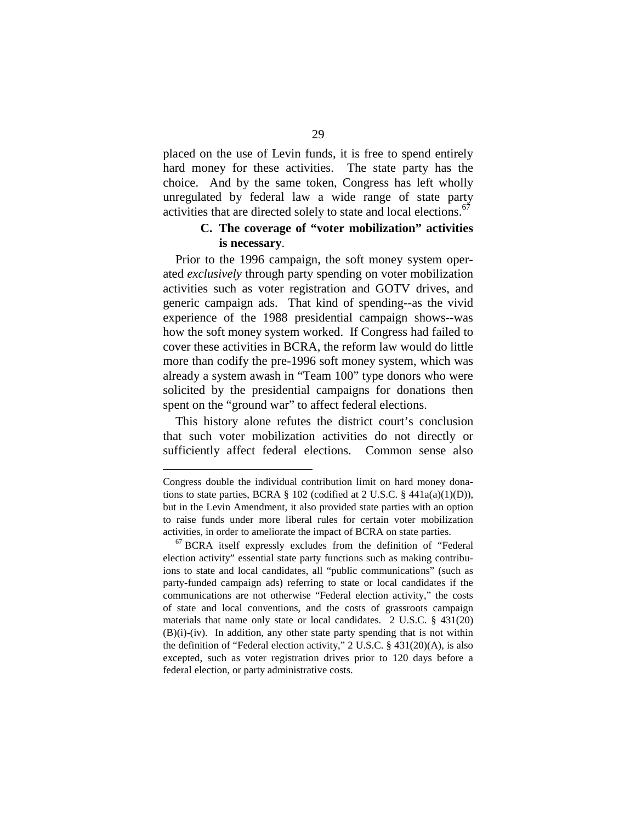placed on the use of Levin funds, it is free to spend entirely hard money for these activities. The state party has the choice. And by the same token, Congress has left wholly unregulated by federal law a wide range of state party activities that are directed solely to state and local elections.<sup>67</sup>

#### **C. The coverage of "voter mobilization" activities is necessary**.

Prior to the 1996 campaign, the soft money system operated *exclusively* through party spending on voter mobilization activities such as voter registration and GOTV drives, and generic campaign ads. That kind of spending--as the vivid experience of the 1988 presidential campaign shows--was how the soft money system worked. If Congress had failed to cover these activities in BCRA, the reform law would do little more than codify the pre-1996 soft money system, which was already a system awash in "Team 100" type donors who were solicited by the presidential campaigns for donations then spent on the "ground war" to affect federal elections.

This history alone refutes the district court's conclusion that such voter mobilization activities do not directly or sufficiently affect federal elections. Common sense also

Congress double the individual contribution limit on hard money donations to state parties, BCRA  $\S$  102 (codified at 2 U.S.C.  $\S$  441a(a)(1)(D)), but in the Levin Amendment, it also provided state parties with an option to raise funds under more liberal rules for certain voter mobilization activities, in order to ameliorate the impact of BCRA on state parties. 67 BCRA itself expressly excludes from the definition of "Federal

election activity" essential state party functions such as making contribuions to state and local candidates, all "public communications" (such as party-funded campaign ads) referring to state or local candidates if the communications are not otherwise "Federal election activity," the costs of state and local conventions, and the costs of grassroots campaign materials that name only state or local candidates. 2 U.S.C. § 431(20) (B)(i)-(iv). In addition, any other state party spending that is not within the definition of "Federal election activity," 2 U.S.C. § 431(20)(A), is also excepted, such as voter registration drives prior to 120 days before a federal election, or party administrative costs.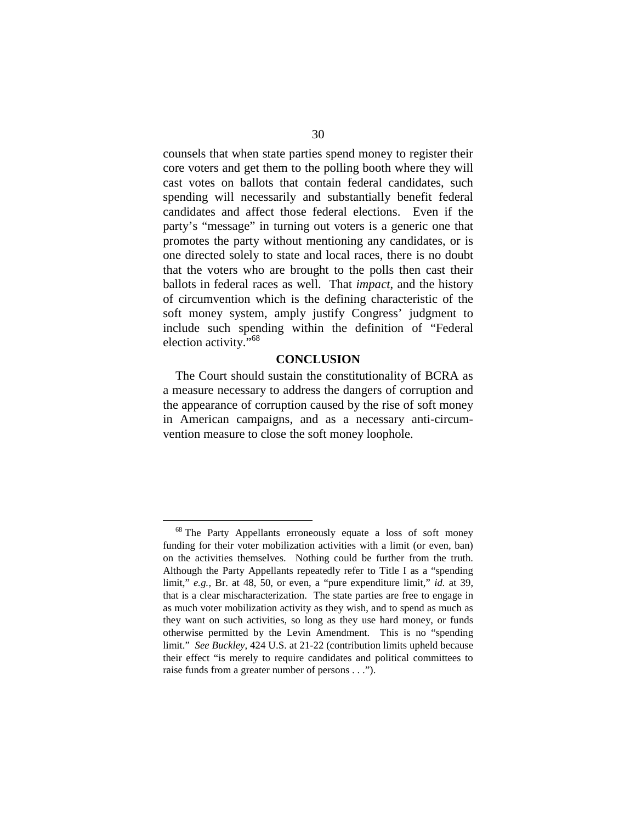counsels that when state parties spend money to register their core voters and get them to the polling booth where they will cast votes on ballots that contain federal candidates, such spending will necessarily and substantially benefit federal candidates and affect those federal elections. Even if the party's "message" in turning out voters is a generic one that promotes the party without mentioning any candidates, or is one directed solely to state and local races, there is no doubt that the voters who are brought to the polls then cast their ballots in federal races as well. That *impact*, and the history of circumvention which is the defining characteristic of the soft money system, amply justify Congress' judgment to include such spending within the definition of "Federal election activity."<sup>68</sup>

#### **CONCLUSION**

The Court should sustain the constitutionality of BCRA as a measure necessary to address the dangers of corruption and the appearance of corruption caused by the rise of soft money in American campaigns, and as a necessary anti-circumvention measure to close the soft money loophole.

<sup>&</sup>lt;sup>68</sup> The Party Appellants erroneously equate a loss of soft money funding for their voter mobilization activities with a limit (or even, ban) on the activities themselves. Nothing could be further from the truth. Although the Party Appellants repeatedly refer to Title I as a "spending limit," *e.g.,* Br. at 48, 50, or even, a "pure expenditure limit," *id.* at 39, that is a clear mischaracterization. The state parties are free to engage in as much voter mobilization activity as they wish, and to spend as much as they want on such activities, so long as they use hard money, or funds otherwise permitted by the Levin Amendment. This is no "spending limit." *See Buckley*, 424 U.S. at 21-22 (contribution limits upheld because their effect "is merely to require candidates and political committees to raise funds from a greater number of persons . . .").